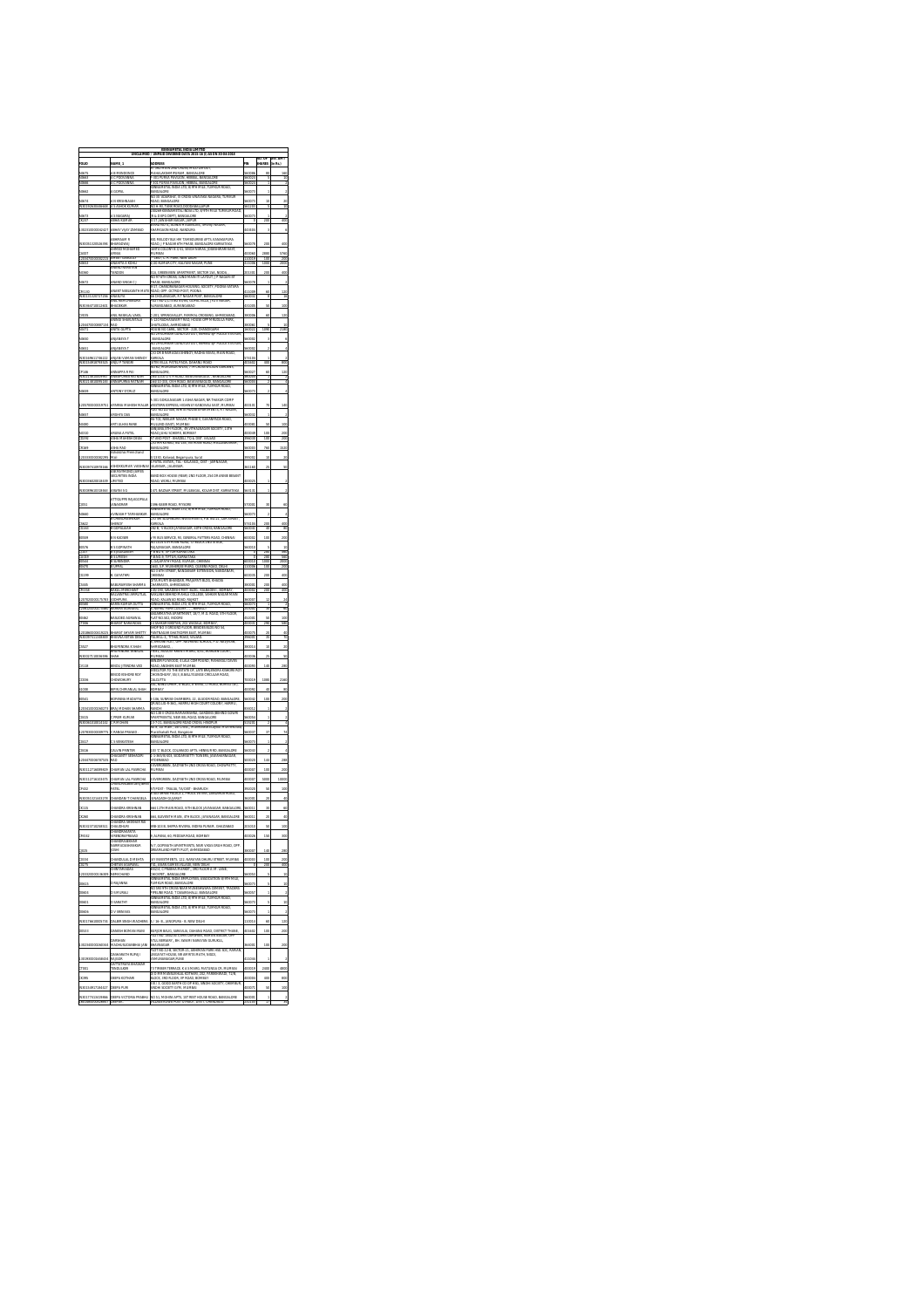|                       |                                                                               | INPAID DIVIDEND DATA 2015<br>-16                                                                                                                                                                                                                                                                                   |        |      |      |
|-----------------------|-------------------------------------------------------------------------------|--------------------------------------------------------------------------------------------------------------------------------------------------------------------------------------------------------------------------------------------------------------------------------------------------------------------|--------|------|------|
| FOLIC                 |                                                                               |                                                                                                                                                                                                                                                                                                                    |        |      |      |
|                       |                                                                               | NDORESS<br>17 SRD MAIN 2ND CROSS, MICO LAYOUT                                                                                                                                                                                                                                                                      |        |      |      |
|                       |                                                                               |                                                                                                                                                                                                                                                                                                                    |        |      |      |
|                       |                                                                               | SHOWANI ZNO UROSS, MICO CHTV<br>DI PURVA PAVLICIV, HEBBAL, BAN<br>DI PURVA PAVLICIV, HEBBAL, BAN<br>DI PURVA PAVLICIV, HEBBAL, BAN<br>VAMAETAL INDIA LTD, B/VTH MILE                                                                                                                                               |        |      |      |
| AO663                 |                                                                               | ANGALORE<br>O 30 'ADARSHA'<br>II CROSS WNAYAKA                                                                                                                                                                                                                                                                     |        |      |      |
| A067<br><b>IN3019</b> | IN KRISHNAMA<br><b>IS ASHOK KUMA</b>                                          | OAD, BANGALORE                                                                                                                                                                                                                                                                                                     |        |      |      |
|                       |                                                                               |                                                                                                                                                                                                                                                                                                                    |        |      |      |
|                       | <b>EHAI KUMAI</b>                                                             | MARI (MARINARIA)<br>1976-1983: TANK ROAD, DODONBALLAPUR<br>1976-1983: TANK ROAD, DODON LTD, BARTH<br>1977: HAWAHAR NAGAR, JARESR<br>1977: HAWAHAR NAGAR, JARESR<br>1978: NORD 4., ADRANTH AGENCIES, SHIVA<br>1988/GAON ROAD, NANDURA                                                                               |        |      |      |
| 1302310               | <b>SHAY VIJAY ZAMBAD</b>                                                      |                                                                                                                                                                                                                                                                                                                    |        |      |      |
|                       | <b>RAAM R</b><br>UH.                                                          | 01 MELODY BLK HIM TAMBOURINE APTS, KANAKAPURA                                                                                                                                                                                                                                                                      |        |      |      |
|                       | HARADWAJ<br>HMED MOHAMEI                                                      | IOAD, J P NAGAR 6TH PHASE, BANGALORE KARNATAKA.<br>ANTA COLONY B 3/41, SINGH NINAS, JOGESHINARI EAST                                                                                                                                                                                                               |        |      |      |
|                       | AFINIA<br>AMEET GANGUL                                                        | <b>MBMUN</b>                                                                                                                                                                                                                                                                                                       |        | isk  | 5760 |
|                       | WAHITA A KOHLI<br>WAND NARAYAN                                                | - 1647, C. R. PARK, NEW DELHI<br>/20 KUMAR CITY, KALYANI NAGAR, PUNE                                                                                                                                                                                                                                               |        |      | öά   |
|                       |                                                                               | GREENVIEW APARTMENT, SECTOR 15A<br>Á                                                                                                                                                                                                                                                                               |        |      |      |
|                       | NAND SINGH                                                                    | HASE<br>V17, 0                                                                                                                                                                                                                                                                                                     |        |      |      |
|                       | ANT NEELKANTH !                                                               | E, BANGALORE<br>CHANDRANAGAR<br>I, OPP. OCTROLPO<br>AR HOUSING, SOCIETY<br>ST. POCNA                                                                                                                                                                                                                               |        |      |      |
|                       | WIL RAMCHANI                                                                  | AR POS<br>TOTAL SERVICES IN THE CORN WITH WITH                                                                                                                                                                                                                                                                     |        |      |      |
|                       | HADEKAR                                                                       | IRINGARAD ALRANGE<br><b>BAD</b>                                                                                                                                                                                                                                                                                    |        |      |      |
|                       |                                                                               |                                                                                                                                                                                                                                                                                                                    |        |      |      |
|                       |                                                                               | AHMEDABAD                                                                                                                                                                                                                                                                                                          |        |      |      |
|                       |                                                                               |                                                                                                                                                                                                                                                                                                                    |        |      |      |
|                       |                                                                               | 41095                                                                                                                                                                                                                                                                                                              |        |      |      |
|                       |                                                                               | 29 KLI<br>BANGALORS                                                                                                                                                                                                                                                                                                |        |      |      |
|                       |                                                                               | R B RAMADAS SHEP                                                                                                                                                                                                                                                                                                   |        |      |      |
|                       |                                                                               |                                                                                                                                                                                                                                                                                                                    |        |      |      |
|                       |                                                                               | 0 62, MUKUNDA NIVAS, 7TH C                                                                                                                                                                                                                                                                                         |        |      |      |
|                       |                                                                               |                                                                                                                                                                                                                                                                                                                    |        |      |      |
|                       |                                                                               | XS), CWH ROAD, BASAWANAGUDI, BANGAL<br>ETAL INDIA LTD, B/9TH MILE, TUMKUR RO<br><b>ENN</b><br><b>NGALORE</b>                                                                                                                                                                                                       |        |      |      |
|                       |                                                                               | 1301 GOKULNAGARI 1 ASHA NAGAR, NR THAKUR COME                                                                                                                                                                                                                                                                      |        |      |      |
|                       |                                                                               | NESTERN EXPRESS, HIGHWAY KANDIVALI EAST, MUMBAI<br>FLAT NO D2-508, WHITE HOUSE APARTMENTS, R T NAGAR                                                                                                                                                                                                               |        |      |      |
|                       |                                                                               |                                                                                                                                                                                                                                                                                                                    |        |      |      |
|                       |                                                                               | KANGALORE<br>KA-701, NEELAM NAGAR, PHASE II, GAWANPADA                                                                                                                                                                                                                                                             |        |      |      |
|                       |                                                                               |                                                                                                                                                                                                                                                                                                                    |        |      |      |
| PRESTS.<br>CO2V2      | SHA MAHESH                                                                    | RA-D'I), NEELAM NALARR, HYRSE II, GAVARNYAD<br>MULUND (EAST), NIUNIBAI<br>SANIANA, STH FLOOR., 49, VITHALINAGAR SOOR<br>IOND, JUHU SCHENE, BONBAY<br>EVO MR KS RAO, NO 155, VIII NAVIN ROAD, MAI<br>EVO MR KS RAO, NO 155, VIII NAVIN ROAD, M                                                                      |        |      |      |
|                       |                                                                               | ANGALORE                                                                                                                                                                                                                                                                                                           |        |      |      |
| 12                    |                                                                               |                                                                                                                                                                                                                                                                                                                    |        |      |      |
|                       |                                                                               | 4/1330, Koliwad, Begampura, Sur<br>5 PATEL VISTAR., TAL - KALAWAD,<br>JALANSAR., JALANSAR.                                                                                                                                                                                                                         |        | ź    |      |
|                       | ASHOKKUMAR VAISHNAN<br>ASK RAYMOND IAMES<br>SECURITIES INDIA<br><u>UMITED</u> |                                                                                                                                                                                                                                                                                                                    |        |      |      |
|                       |                                                                               | BAND BOX HOUSE (REAR) 2ND FLOOR, 2<br>ROAD, WORLI, MUMBAI                                                                                                                                                                                                                                                          |        |      |      |
|                       | ASWINI S G                                                                    | 1471 BAZAAR STREET, MULBA                                                                                                                                                                                                                                                                                          |        |      |      |
|                       |                                                                               |                                                                                                                                                                                                                                                                                                                    |        |      |      |
|                       | ntiguppe ramgopala<br>Anakiram                                                | 15% KABIR ROAD, MYSORE<br>KENNAMETAL INDIA LTD, B/9TH M                                                                                                                                                                                                                                                            |        |      |      |
|                       | .<br>VINASH P TAMHA<br>CHANDRASHEXA                                           | ANGALORE<br>70 SRI SUD                                                                                                                                                                                                                                                                                             |        |      |      |
|                       | ENOY                                                                          | <b>CARKALA</b>                                                                                                                                                                                                                                                                                                     |        |      |      |
|                       |                                                                               |                                                                                                                                                                                                                                                                                                                    |        |      |      |
|                       | N KADSER                                                                      | / M BUS SERVICE, 93, GENERAL PATTERS ROAD<br>60 1014 4TH MAIN ROAD, "D' BLOCK 2ND STAI                                                                                                                                                                                                                             |        | ite  |      |
|                       | S GOPINATH<br>S JAGADEESE                                                     | .<br>Najawagar, Bangalore<br>P.B.No. 9, Tiptur-Karnataka                                                                                                                                                                                                                                                           | ikoo   |      |      |
|                       |                                                                               | 8 NO.9                                                                                                                                                                                                                                                                                                             |        |      |      |
|                       |                                                                               | B.NO.9, TIPTUR, KARNATAKA<br>GAANPATHY ROAD, KILPALIK<br>143, S.P. MURHERJEE MARD,<br>13, S.P. MURHERJEE MARD,                                                                                                                                                                                                     |        |      |      |
|                       | CAVATHIN                                                                      |                                                                                                                                                                                                                                                                                                                    |        |      |      |
|                       |                                                                               | TA MURTI BHANDAR, PRAV<br>MSTA<br><b>AMMEDIAE</b>                                                                                                                                                                                                                                                                  |        |      |      |
|                       |                                                                               |                                                                                                                                                                                                                                                                                                                    |        |      |      |
|                       |                                                                               |                                                                                                                                                                                                                                                                                                                    |        |      |      |
|                       |                                                                               |                                                                                                                                                                                                                                                                                                                    |        |      |      |
|                       |                                                                               |                                                                                                                                                                                                                                                                                                                    |        |      |      |
|                       |                                                                               |                                                                                                                                                                                                                                                                                                                    |        |      |      |
|                       |                                                                               |                                                                                                                                                                                                                                                                                                                    |        |      |      |
|                       |                                                                               | INTIMAGAR GHATKOPER EAST<br>MUM                                                                                                                                                                                                                                                                                    |        |      |      |
|                       | HAVNA KETAN DI                                                                |                                                                                                                                                                                                                                                                                                                    |        |      |      |
|                       |                                                                               | LL-3., TITHAL ROAD, VALSAD.<br>JANI FLAT, OPP. NAVRANG SO                                                                                                                                                                                                                                                          |        |      |      |
|                       | ENDRA S                                                                       | WASH KRANTI MA                                                                                                                                                                                                                                                                                                     |        |      |      |
|                       | TENDR                                                                         | BENZER PLYWOOD, 4 LALA COMPOUND, MAH                                                                                                                                                                                                                                                                               |        |      |      |
|                       | NOD KISHORE ROY                                                               |                                                                                                                                                                                                                                                                                                                    |        |      |      |
|                       | <b>NDHURY</b>                                                                 | IOAD, ANDHEIN EAST MUMBA<br>EXECUTOR TO THE ESTATE OF, LATE BRAIENDRA KISHI<br>CHOWDHURY, SS/3, B.BALLYGUNGE CIRCULAR ROAD,                                                                                                                                                                                        |        |      |      |
|                       |                                                                               | :ALCUTTA<br>101, NAND DHAM, A-BLDG, A-WING, LT ROAD, BORNLI (W<br><b>CA/BAY</b>                                                                                                                                                                                                                                    |        |      |      |
|                       |                                                                               |                                                                                                                                                                                                                                                                                                                    |        |      |      |
|                       |                                                                               | -106, SUNRISE CHAMBERS, 22, ULSOCR ROAD, BAN<br>R.NO.LIG R-360, HARMU HIGH COURT COLONY, HA                                                                                                                                                                                                                        |        |      |      |
|                       |                                                                               |                                                                                                                                                                                                                                                                                                                    |        |      |      |
| PGX                   | R MOHAN                                                                       |                                                                                                                                                                                                                                                                                                                    |        |      |      |
|                       |                                                                               | SRAIO.102 R-360, HANKAU HIGH COLuki Lukunit,<br>NAVCHI<br>NAVCHI CROSS RAMAKRISHNA, GARDENS (BEHI<br>VARTMENTS), NEW BEL ROAD, BANGALORE<br>13-7-21, BANGALORE ROAD CROSS, HINDHUR<br>16 8, 1st Main , 151 Crois ,, Munishwara Layout f                                                                            |        |      |      |
|                       | SVENKATES                                                                     | 40 8, 151 Miles, 176 miles)<br>Auruthahalli Post, Bangalore<br>ENNAMETAL INDIA LTD, 8/9TH MILE<br>ANGALORE                                                                                                                                                                                                         |        |      |      |
|                       | <b>ALVIN PRINTE</b>                                                           |                                                                                                                                                                                                                                                                                                                    |        |      |      |
|                       | CANTY SE                                                                      | 03 °C' BLOCK, COLARADO APTS, 1<br>1-1-365/8/403, SIDDAMSETTY TO                                                                                                                                                                                                                                                    |        | ú.   |      |
|                       |                                                                               | TECERABAD                                                                                                                                                                                                                                                                                                          |        |      |      |
| PZ                    | HAMAN LAL F                                                                   | <b>MUMBAI</b>                                                                                                                                                                                                                                                                                                      |        |      |      |
| <b>IN301</b>          | HAMAN LAG                                                                     | 3 EVERGREEN, DADYSETH 2ND CROSS ROAD                                                                                                                                                                                                                                                                               |        |      |      |
| (P4)                  | ATÉL                                                                          |                                                                                                                                                                                                                                                                                                                    |        |      |      |
| BC                    |                                                                               | ALIPOSI - IKRASA, IX<br>1403 SHREE PALACE<br>UNAGADH GUIARAT                                                                                                                                                                                                                                                       |        |      |      |
|                       | HANDRA KRISHN                                                                 | 11TH MAIN ROAD,                                                                                                                                                                                                                                                                                                    |        |      |      |
|                       | <b>IDRA KI</b>                                                                | <b>ELEVENTH</b>                                                                                                                                                                                                                                                                                                    |        |      |      |
| IN30323710258511      | εö                                                                            | SRB-103 B, SHIPRA RIVIERA                                                                                                                                                                                                                                                                                          |        |      |      |
|                       | ohaudhuri<br>Dhandrakanta                                                     | ALPANA, 60, PEDDAR ROAD, BOMBAY                                                                                                                                                                                                                                                                                    |        |      |      |
|                       | nrendraprasad<br>Shaidrasekhar<br><b>PRABINGHANKA</b>                         |                                                                                                                                                                                                                                                                                                                    |        |      |      |
| $\alpha$              |                                                                               | REAMLAND PARTY PLOT, AHMEDA                                                                                                                                                                                                                                                                                        |        |      |      |
|                       | HANDULAL DIMENTA                                                              |                                                                                                                                                                                                                                                                                                                    |        |      | 20   |
| 00334<br>00275        | <b>WA</b><br>m<br><b>HINTAMADAS</b>                                           |                                                                                                                                                                                                                                                                                                                    |        | m    | ŧά   |
| 120332000013          | EMCHAND                                                                       | IAY INVESTMENTS, 122, NARAYAN DHURU STREET, MUN.<br>141, ASIAN GAMES VILLAGE, NEW DELHI<br>I 82/4, C PRAISEN MARKET., SRD FLOOR A. M. LANE,                                                                                                                                                                        |        |      |      |
| D0619                 | D RAJANNA                                                                     | 82/4, C Praeeth, HYD-62<br>BOKPET,, BANGALORE<br>TANAMETAL INDIA EMPLOYEES, ASSOCIATION                                                                                                                                                                                                                            |        |      |      |
| DO60                  | <b>DS MURALI</b>                                                              |                                                                                                                                                                                                                                                                                                                    |        |      |      |
|                       | <b>D SARATHY</b>                                                              | ENWANETAL INDIA EMPLOYEES, ASSOCIAtion w.<br>LINNANETAL INDIA EMPLOYEES, ASSOCIATION w.<br>10 593 9TH CROSS NEAR MUNE SHWARA CEMENT, TI<br>PPELINE ROAD, T DASARAHALLI, BANGALORE<br>ENWANETAL INDIA LTD, B/9TH MILE, TUMMUR                                                                                       |        |      |      |
| Doep                  |                                                                               | ÷<br><br>ETAL INDIA LTD, &/VTH MILE, TU                                                                                                                                                                                                                                                                            |        |      |      |
| DO60                  | D V SRINIVA                                                                   | ANGALOR                                                                                                                                                                                                                                                                                                            |        |      |      |
| 80017661              | DALBIR SINCH                                                                  | <b>JANGPURA - B, NEW DELHI</b><br>$1/16 - 8$                                                                                                                                                                                                                                                                       |        |      |      |
| D0533                 | ANESH BOM                                                                     |                                                                                                                                                                                                                                                                                                                    |        |      |      |
|                       | <b>DARSHAN</b>                                                                | BURJOR BAUG, SARAVLIA, DAHANU ROAD, DISTRICT THA<br>PLOT NO. 1602/B/3,9HIV DARSHAN, RAMAN NAGAR, OR<br>ATUL NERSARY., BH. SWAMI NARAYAN GURUKUL,                                                                                                                                                                   |        |      |      |
| 13023400002           | MADHUSUDANBHAI                                                                | H <i>NINACAR</i><br>'LOT NO.12-                                                                                                                                                                                                                                                                                    |        |      |      |
| 1301930001658434      | DASHARATH RUPAI                                                               | BEIMINMANK<br>PLOT NO. 12-B, SECTOR-21, ABHIMAN PARK HSG SOC, RAMAN<br>LINGAYAT HOUSE, NR AMRITA MATH, NIGDI,<br>YAMUNANAGAR PUNE                                                                                                                                                                                  | 411044 |      |      |
|                       | RAIGOR<br>DATTATRAYA BHASKAR<br>TENDULKER                                     |                                                                                                                                                                                                                                                                                                                    | 400019 | 3400 | 48OC |
| CTOO1                 |                                                                               |                                                                                                                                                                                                                                                                                                                    |        |      |      |
| 001                   | DEEPA KOTHARI                                                                 |                                                                                                                                                                                                                                                                                                                    |        |      |      |
| IN30154917184427      | DEEPA PURI<br>-<br>8/30177413419866 DEEPA VICTORIA PRABI-                     | 73 TIMBÉR TERRACE, K.A.S.MARG, MATUNGA CR, MUMBAL<br>DVD MR MANSURHUAL KOTHARI, 202, PAREKHWADI, 72/8,<br>BLOCK, 380 FLOOR, VP ROAD, BOMBAY<br>SINDHI SOCIETY GYM, MUMBAL<br>SINDHI SOCIETY GYM, MUMBAL<br>NO 51, MOHINI APTS, 15T REST HOUSE ROAD, BAN<br>VILLAGE KUWA POST UTRAUT, DISTT, CHANDAULT<br>BANGALORE |        |      | ١ń   |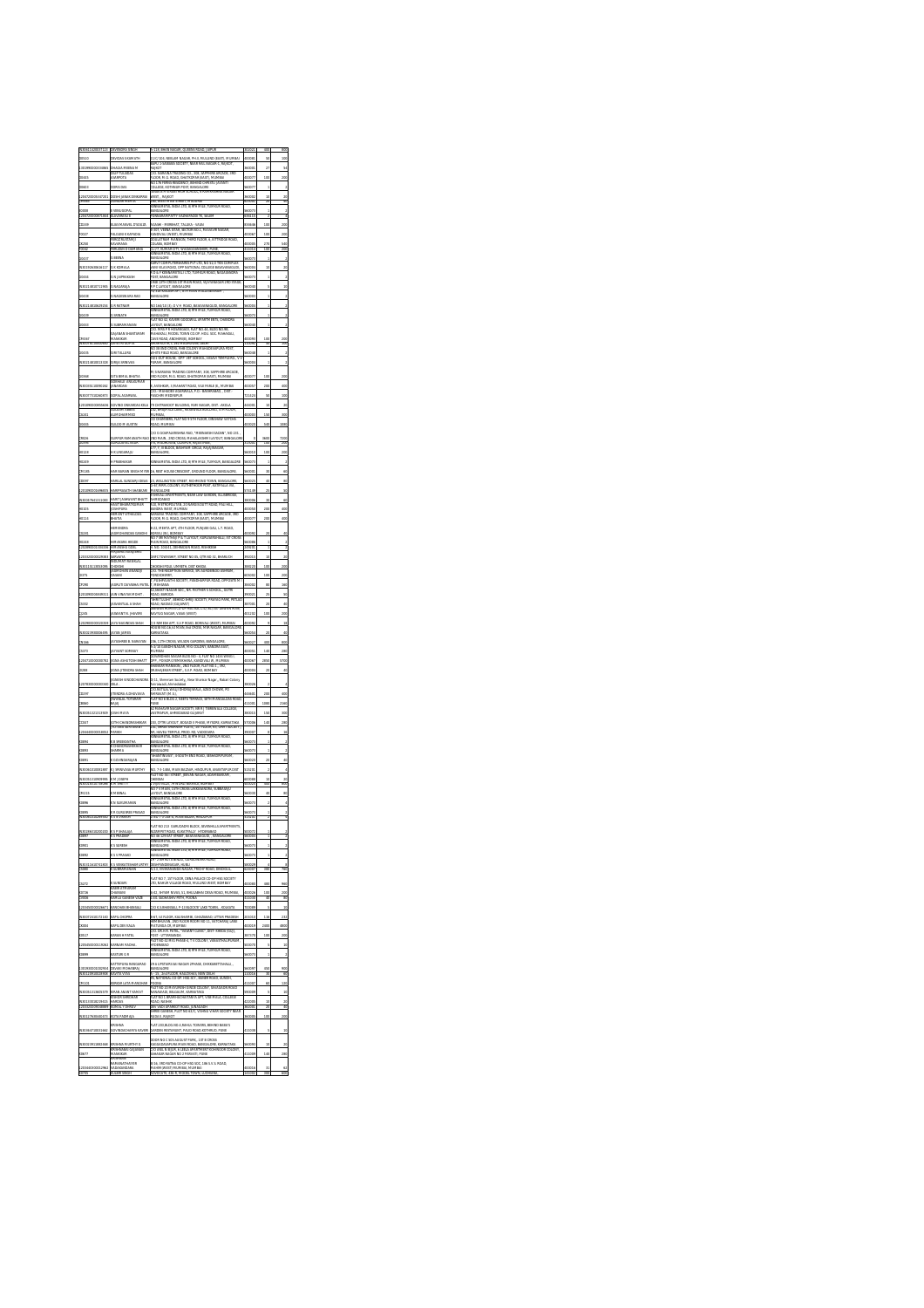|                                      |                                                                          | .<br>1904, NEELAM NAGAR, PHJI, MULUND (EAST), MUMBA<br>U 1-SAIBABA SOCIETY, NEAR RAIL NAGAR-1, RAJKOT,                                                                                                                                          |                  |                  |                     |
|--------------------------------------|--------------------------------------------------------------------------|-------------------------------------------------------------------------------------------------------------------------------------------------------------------------------------------------------------------------------------------------|------------------|------------------|---------------------|
|                                      | AGIA MEENA N                                                             | MKOT                                                                                                                                                                                                                                            |                  |                  |                     |
|                                      | SARPOTA                                                                  | KAKO I<br>EVO NARAINA TRADING CO., SIG, SAPPHIRE ARCADE<br>FLOOR, M.G. ROAD, GHATKOPAR (EAST), MUMBAI<br>VO 176 FERRS RESIDENCY, BEHIND CHRISTU JAYANTI<br>ARAC ELI VIRALIA POST, BANGALORE<br>ARKY. - BA WYT<br>ARKY - BA WYT<br>ARKY - BA WYT |                  | ite              |                     |
|                                      |                                                                          |                                                                                                                                                                                                                                                 |                  |                  |                     |
|                                      |                                                                          | WEST MASI STREET, MADURAL<br>WANETAL INDIA LTD, 8/9TH MILE, TUMKU<br>CENN                                                                                                                                                                       |                  |                  |                     |
|                                      | <b>VENUGOPA</b>                                                          | ANGALORE<br><b><i>RAMPATTY VAZHAPADDI TK</i></b>                                                                                                                                                                                                |                  |                  |                     |
|                                      | ELIAS MANVEL D'SOUZA                                                     | AGASH - MERBHAT, TALUKA - WASAI<br>B-307, VEENA SITAR, SECTOR NO.1, MAWAV<br>KANDIVALI (WEST), MUMBAI                                                                                                                                           |                  | 10C              |                     |
|                                      | FALCIUNI K KAPADIA<br>FEROZ RUSTAMA                                      | OULATRAM MANSION: THIRD FLOOR                                                                                                                                                                                                                   |                  |                  |                     |
|                                      | NAR<br>w                                                                 | <b>BOMBAY</b><br><b>OLABA</b><br>1 1/7, KUMAR CITY, WADAGOANSHE<br>ENNAMETAL INDIA LTD, 8/9TH MILE                                                                                                                                              |                  |                  |                     |
|                                      |                                                                          | NGALC<br>KARVY COMPUTERSHARES PVT LTD.                                                                                                                                                                                                          |                  |                  |                     |
|                                      |                                                                          | AN VILAS ROAD, OPP NATIO<br>$\overline{D}$<br>F KENNAMETAL I LTD, TUMKLI                                                                                                                                                                        |                  |                  |                     |
|                                      |                                                                          | BANGALORE<br>13TH CROSS 1ST MAIN<br>LAYOUT, BANGALORE                                                                                                                                                                                           |                  |                  |                     |
|                                      |                                                                          | ASH APT, STH                                                                                                                                                                                                                                    |                  |                  |                     |
|                                      |                                                                          | (3), O V H ROAD, BASAVANAG<br>TAL INDIA LTD, 8/9TH MILE, TUI                                                                                                                                                                                    |                  |                  |                     |
|                                      |                                                                          | OODWEL APARTMEN                                                                                                                                                                                                                                 |                  |                  |                     |
|                                      |                                                                          | AT NO 42, KA                                                                                                                                                                                                                                    |                  |                  |                     |
|                                      | <b>MTARAM</b>                                                            | ro: Mils P R Hosangadi, Flat No.4A, Blog No.9B,<br>Iahakau, Model Town Co.op. Hou. Soc. Mahakau,<br>Ave Road, Andherije), Bombay                                                                                                                |                  |                  |                     |
|                                      |                                                                          | THE COLONY MAHADEVAPURA POST<br>VD 09055<br>IO 38 I<br>ďE<br>FELD ROAD                                                                                                                                                                          |                  |                  |                     |
|                                      | CIRIJA SRINIVAS                                                          | BANGALORE<br>3PP VET SCHOOL, VASAVI TEMPLE<br>OUT<br>ö<br>URAM, BANGALORE                                                                                                                                                                       |                  |                  |                     |
|                                      |                                                                          | m/s Naraina Trading Company, 308, Sapphire Arcade,<br>Iro Floor, M.G. Road, Ghatxopar (East), Mumbai                                                                                                                                            |                  |                  |                     |
|                                      | ata bimal bhatia<br>Xorhale anilkumar<br>MARDAN                          | AVISHKAR<br>.<br>2. S.MAHANT ROAD, VILE PARLE (E., M.<br>IDEV AGARINALA, P.O.- BAKHRABAD, .                                                                                                                                                     |                  |                  |                     |
|                                      | GOPAL AGARIN                                                             | ASCHIM MEDINIFUR                                                                                                                                                                                                                                |                  |                  |                     |
|                                      | 20VIND ONKARI<br>23.AAM ABBAS                                            | PR CHITRAKOOT BUILDING, RAM NAGAR, DIST. -AKOLA<br>192, BHAIIPALA LANE, RASSIWALA BUILDING, 4TH FLOOR                                                                                                                                           |                  |                  |                     |
|                                      | LIMOHAMMED                                                               | NUMBAL<br>CI CHAM<br>BERS, FLAT NO 9 STH FLOOR, DINSHAW VATO                                                                                                                                                                                    |                  |                  |                     |
|                                      |                                                                          | OAD, MUMBAL                                                                                                                                                                                                                                     |                  |                  |                     |
|                                      | RPUR RAMANATH RAC                                                        | .<br>1940: Main , 2nd Cross, Mahalakshin Layout, 80231<br>140: Main , 2nd Cross, Mahalakshin Layout, Bangalor<br>177, Y. III Block, Bashyam Crolle, Rajawaragar,                                                                                |                  |                  |                     |
|                                      | HK LINGARAJLI                                                            | BLOCK<br>BANGALORE                                                                                                                                                                                                                              |                  |                  |                     |
|                                      | H PRAEHAKAR                                                              | KENNAMETAL INDIA LTD, 8/9TH MILE, TUMICUR, BAN                                                                                                                                                                                                  |                  |                  |                     |
|                                      |                                                                          | 6, REST HOUSE CRESCENT, G                                                                                                                                                                                                                       |                  |                  |                     |
|                                      | ARLAL SUNDARJI I                                                         | G 67, MRPL COLONY, KUTHETHOOR POST, KATIPALLA VAA                                                                                                                                                                                               |                  |                  |                     |
|                                      | PRASATH SI                                                               | MANGALORE<br>1 SHIVALI API<br>WRTMENTS, NEAR LAW CARDEN, ELLIS                                                                                                                                                                                  |                  |                  |                     |
|                                      | HARIT JASHWANT BHATT<br>HASIT BHARATKUMAR<br>oshpura<br>Hemant Vithaldas | .<br>A10, METROPOLITAN, 20 NAROS DUTT ROAD, PALI E<br>.<br>Naraina trazing company, 396, 546<br>Naraina trazing company, 396, 546                                                                                                               |                  |                  |                     |
|                                      | <b>HATIA</b>                                                             | R.OOR, M.G. ROAD, GHATKOPAR (EAST), MUMBAI                                                                                                                                                                                                      |                  |                  |                     |
|                                      | EMENTON<br>MOHANI                                                        | 522, MEHTA APT, 4TH FLOOR, PUNJABI GALI, L.T. ROAD                                                                                                                                                                                              |                  |                  |                     |
|                                      |                                                                          | VLI (W), BOMBAY<br>SRI MATHAII P & T LAY<br>v RO<br>4D<br><b>BAN</b>                                                                                                                                                                            |                  |                  |                     |
|                                      | <b>RIBHAINAN</b>                                                         | na)<br>TOWNSHIP, STREET NO O                                                                                                                                                                                                                    |                  |                  |                     |
|                                      |                                                                          |                                                                                                                                                                                                                                                 |                  |                  |                     |
|                                      |                                                                          |                                                                                                                                                                                                                                                 |                  |                  |                     |
|                                      |                                                                          |                                                                                                                                                                                                                                                 |                  |                  |                     |
|                                      |                                                                          | BARODA                                                                                                                                                                                                                                          |                  |                  |                     |
|                                      |                                                                          | NADIAD<br>щ                                                                                                                                                                                                                                     |                  |                  |                     |
|                                      |                                                                          |                                                                                                                                                                                                                                                 |                  |                  |                     |
|                                      |                                                                          |                                                                                                                                                                                                                                                 |                  |                  |                     |
|                                      |                                                                          | OUSE NO.16.1st MAIN, lind CROSS, MSR NACAR, BA<br>ARMATAKA                                                                                                                                                                                      |                  |                  |                     |
|                                      |                                                                          |                                                                                                                                                                                                                                                 |                  |                  |                     |
|                                      |                                                                          | 06, 11TH CROSS, WILSON GARDENS, BANGALORE,<br>12/10 GANDHI NAGAR, MIG COLONY, BANDRA EAST,<br>aumbai<br>Covardhaai nacar blog no -<br>4, FLAT NO 1434 WIN                                                                                       |                  |                  |                     |
|                                      |                                                                          | 348)<br>392,                                                                                                                                                                                                                                    |                  |                  |                     |
|                                      | <b>IGNESH VINCOCHANDRA</b>                                               | opp., Poisor Cyemerhana, Kandivali W, Mul<br>Bhankar Mansion., 2nd Floor, Flat No.1., 3<br>Dr Bhalekar Street., S.V.P. Road, Bombay                                                                                                             |                  |                  |                     |
|                                      |                                                                          | .<br>D/11. Shreeram Society, Near Shankar Nagar, Rab<br>Amraiwadi, Ahmedabad<br>CYO RATILAL WALE DHORAIWANA, AZAD CHOWK                                                                                                                         |                  |                  |                     |
|                                      | ITENDRA A.DHUVAV<br>IWANLAL TOTARAN                                      | AMBAVATI (M.S.),<br>FLAT NO 6 BLDG 2, NEETA TERRACE, SETH MANG                                                                                                                                                                                  |                  |                  |                     |
|                                      | AIA.<br><b>CSH MAYA</b>                                                  | une<br>3 Mahayir Nagar Society,                                                                                                                                                                                                                 |                  |                  |                     |
|                                      |                                                                          | .<br>14 Mahawa nagar Society, Nr R J Tibrew<br>Nastrapur, Ahmedabad Gujarat                                                                                                                                                                     |                  |                  |                     |
|                                      | iothi Chandrashekar<br>Yotsiva surfakant<br>PARINH                       | .<br>103, CETRI LAYOUT, BOGADI II PHASE, MYSORE<br>101. SHREE SHARNAM FLATS., 15T FLOCIR, 63, L                                                                                                                                                 |                  |                  |                     |
|                                      | K B SREEKANTHA<br>K CHANDRASHEK                                          | .<br>K. HAVELI TEMPLE, PROD. RD., VADODARA<br>ENNAMETAL INDIA LTD, 8/9TH MILE, TUM<br>SANGALORE<br>ENNAMETAL INDIA LTD, 8/                                                                                                                      |                  |                  |                     |
|                                      |                                                                          | SANGALORE<br>SHANTINIVAS", 4-SQUTH END                                                                                                                                                                                                          |                  |                  |                     |
|                                      | COVINDARANA                                                              | NGALORE                                                                                                                                                                                                                                         |                  |                  |                     |
|                                      |                                                                          | <u>IO. 7-3-148A, MAIN BAZAAR, HINDUF</u><br>LOT NO 56 I STR <u>EET, JEEVAN NACAR</u> ,<br>HENNAI                                                                                                                                                |                  |                  |                     |
|                                      |                                                                          | I VIJAVVILLA, 79 WORLI SEAFACE, BOMBAY<br>60 7 V MARK, 15TH CROSS LAKKASANDRA, SUBBASAJL                                                                                                                                                        |                  |                  |                     |
|                                      |                                                                          | LAYOUT, BANGALORE<br>KENNAMETAL INDIA LTD, B/9TH MILE,                                                                                                                                                                                          |                  |                  |                     |
|                                      |                                                                          | MNGALORE<br>ENNAMETAL INDIA LTD, 8/9TH I<br>NGALOR                                                                                                                                                                                              |                  |                  |                     |
|                                      |                                                                          | AT NO 215                                                                                                                                                                                                                                       |                  |                  |                     |
|                                      |                                                                          |                                                                                                                                                                                                                                                 |                  |                  |                     |
| ico                                  | SURES                                                                    | <b>ANGALORE</b><br>L INDIA LTD, 8/9TH MILE, TUMICUR RO                                                                                                                                                                                          |                  |                  |                     |
| ceo;                                 | CS V PRASAF                                                              | NGALO                                                                                                                                                                                                                                           | 560073           |                  |                     |
|                                      | << VENKATESHAMURTH                                                       | AMBUTA B<br>MNDENAG<br>n<br>198                                                                                                                                                                                                                 | simo             |                  |                     |
| csana                                | SUNDAR                                                                   | .<br>FLAT NO 7, 15T FLOOR, DENA PALACE CO-OP HSG SO<br>LTD, NAHUR VILLAGE ROAD, MULUND WEST, BOMBA                                                                                                                                              |                  |                  |                     |
|                                      |                                                                          |                                                                                                                                                                                                                                                 |                  |                  |                     |
| 6072<br>CVOC<br>12034500000          | UABRATMA<br>Hainana<br>Uamla Gan<br>ANCHAN BHANS                         | .<br>SADHASHIV PETH, POONA<br>SADHASHIV PETH, POONA<br>VO K.S.BHANSALI, P-13 BLOCK'B' LAKE TOWN,                                                                                                                                                |                  |                  |                     |
| N3007241                             | <b>CAPIL CHOPRA</b>                                                      |                                                                                                                                                                                                                                                 |                  | i ti             |                     |
| 00004                                | <b>CAPIL DEV KALIA</b>                                                   |                                                                                                                                                                                                                                                 | 400019           | 2400             | 4800                |
| <b>KD517</b>                         | GARAN H PATEL                                                            | 8-67, NI FLOOR, KAUSHAMBI, CHAZIABAD, UTTAR PRADESH<br>HEMBHUNGA OR, MUITOOR ROOM NO 11, VATCHARAI LANE<br>MATUNGA OR, MUMBA<br>POST - UTTARSANDA<br>POST - UTTARSANDA<br>TOT NO 42 MIG PHASE-4, T V COLONY, VANASTHALIKSRAM,<br>PLOT NO 42 MIG | 387370           | top              | 200                 |
| 12                                   | <b>CARNAM RADHA</b><br><b>CASTURE C.B</b>                                | .<br>HYDERABAD<br>KENNAMETAL INDIA LTD, B/9TH MILE, TUMKUR ROAD,<br>NGALORE                                                                                                                                                                     |                  | ï                | 1                   |
|                                      | KATTEPURA RANGARAO                                                       | 29 A UPSTAIRS SAI NAGAR 2PHASE, CHIKKABETTAHALLI                                                                                                                                                                                                |                  |                  |                     |
| 1301930001002934<br>IN30120910028VOS | <b>IMOHAWRAJ</b><br><b>KAVITA VYAS</b>                                   | <b>ALC</b><br>A - 15 , 2nd FLOOR, HAUZ KHAS, NEW DELHI<br>15. NATIONAL CO-OP, HSG SCY , BANER ROAD : AUNDH                                                                                                                                      | 110010           |                  | $\overline{\alpha}$ |
| CM301                                | GRKAR LATA MANOHAR                                                       |                                                                                                                                                                                                                                                 | 41100            | 6C               | 120                 |
| 020051313605579                      | <b>GRAN ANANT KAMAT</b><br>KISHOP SHRIDHAP                               | OONA<br>LOT NO 20 MANURESH GINDE COLONY, SAVAGAON ROAD<br>MANAWADI, BELGALIM, KARNATAKA<br>RAT NO 1 BRAMHACHAITANYA APT, VISE MALA, COLLEGE                                                                                                     | 590000<br>422005 | $\overline{u}$   | 10                  |
| 820133018219415<br>1203320009048889  | <sup>Kismu</sup> n -----<br>HARDAS<br>K <u>OMAL Y DHRUA</u>              |                                                                                                                                                                                                                                                 |                  |                  | $rac{20}{40}$       |
| R30127630440473                      | KOTA PADMAJA                                                             | T NO 1 DRAWN ----<br>ID, NASHIK<br>YARA LIPARKOT ROAD, JUNAGADH<br>EE GANESH, PLOT NO 63/C, VISHNU VIHAR SOCIETY NEA<br><b>NIDA II, BAKOT</b>                                                                                                   | 360005           | ١œ               | 200                 |
| R30364710031662                      | COVINDACHARYA KAVERI                                                     | .<br>FLAT 203,BLDG.NO.4,RAHUL TOWERS, BEHIND BABA<br>GARDEN RESTARUNT, PAUD ROAD,XOTHRUD, PUNE                                                                                                                                                  | 411038           |                  | 10                  |
| 02002391188246                       |                                                                          |                                                                                                                                                                                                                                                 | 560093           | 10               | 20                  |
| KD677                                | GISHNA MURTHY G<br>GISHNABAI GAWNAN<br>MANOCIKAR                         | .<br>Door no C 505 august Park, 1st B Cross<br>Caggadasapura Main Road, bangalore, karnataka<br>Cad Anil N Buur, 6 leela apartment kohindor Colony,<br>SAHAKAR NAGAR NO 2 PARVATI, PUNE                                                         | 41100            | 140              | za:                 |
| 1203440300012962<br>KD705            | MAANATHAYER<br>VADAKANDARA<br>KULBIR SINGH                               | 8/16, 3RD RATNA CO-OP HSG SOC, 186 S.V.S. ROAD,<br>.<br>Mahmiwest) mumbai, mumbai<br>Advocate, 436-r, model town, ludhiana                                                                                                                      | 400016           | $\frac{31}{300}$ | $rac{62}{600}$      |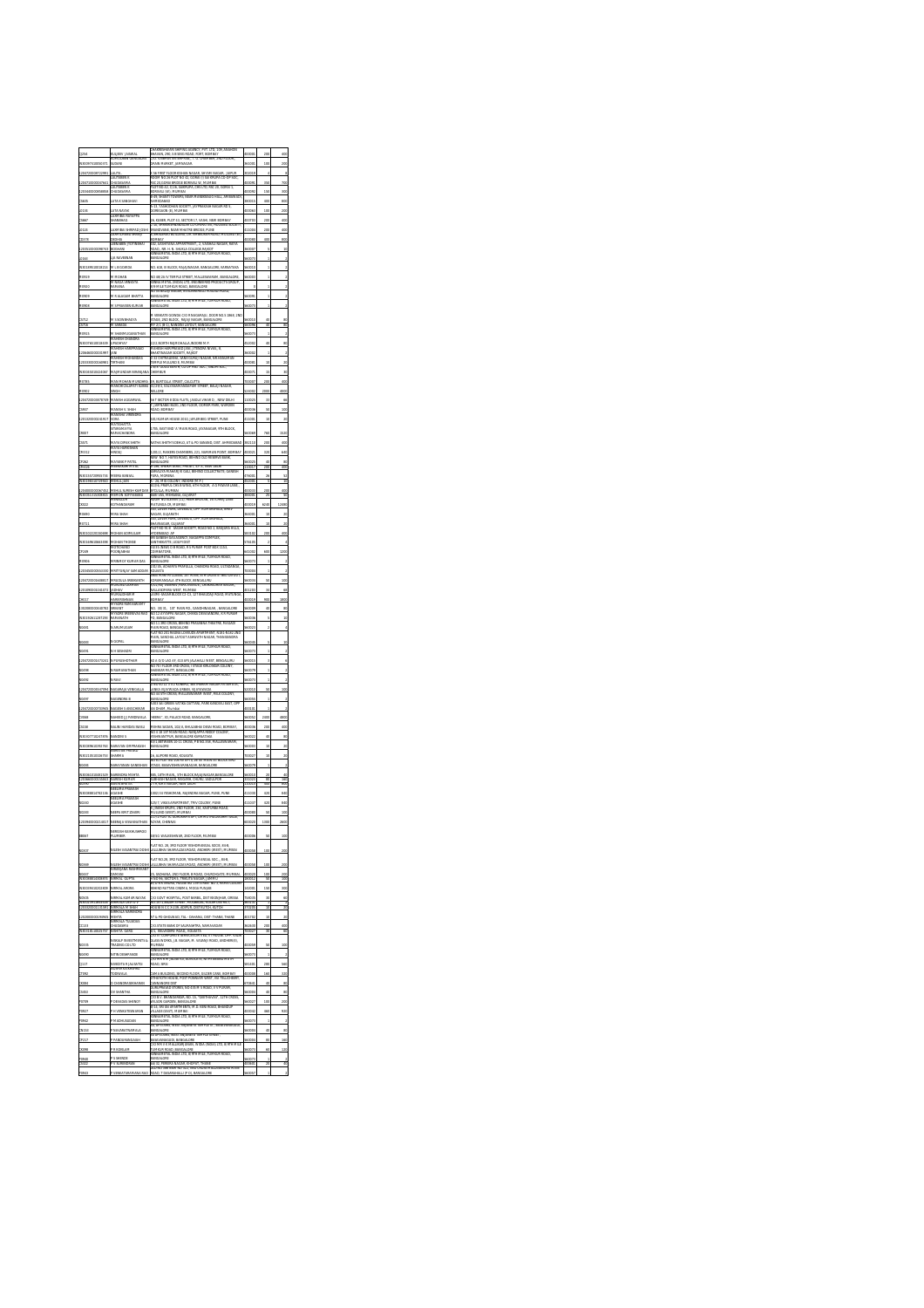| HWARI SHIPING AGENCY, PVT. LTU, 1<br>.290, S.B. SING ROAD, FORT, BOMBAY<br>HAW ENTERFRISE,, T. G. CHAMBER, 21<br>.<br>Simudben gant<br><b>IMARKET, JAMIACAR</b><br><b>SJOAN</b><br>K 56 FRST FLOOR KISHAN NAGAR, SHYAN NAGAR<br>ROOM NO 26 PLOT NO 42, GORAI (I) SAI KRUPA CO<br>RSC 20,GORAI BRIDGE BORNALI W, MUMBAI<br>PLOT NO 42, C/26, SAIKRAPA, CHS LTD, RSC 20, GO<br>LALITA .<br>LALITABEN K<br>350<br>ehudasama<br>Alitaben k<br>Ehudasama<br>150<br>VALI (W), MUMBAI<br>, SHANTI TOWERS, NEAR MANEKBAUG<br><b>ATA K SANGHA!</b><br>AHMEDABAD<br>A-13, YASHODHAN SOCIETY, JAYPRAKASH NAC<br>4CC<br>-<br>LATA NAYAK<br>****BAI RAYAPPA<br><b>IEGAON (E)</b><br><b>MUMBAI</b><br>īά<br>.<br>10, SHIRKRSHIANAGAR CO-OPERATIVE, HOUSING SO<br>HANBHAG<br>200<br>akmbai shripad Joshi<br>Akmchand shanji<br>.<br>ERANDVANE, NEAR MHATRE BRIDGE, PUNE<br>5, BHALERAD BUILDING, DR. AMBEDIKAR ROAD<br>200<br><b>EDHA</b><br>MBAY<br>.<br>En motine<br>.<br>Shiyana asoastijent<br>, NR. H. N. SHUKLA COLLEGE,RAJKOT<br>AMETAL INDIA LTD, 8/9TH MILE, TUM<br><b>HAN</b><br>A NAVEENA<br>NGALORE<br>618. III BLOCK, RAJAINAGAR, BANGALI<br>) 48/2A IV TEMPLE STREET,<br>NNA METAL (INDIA) LTD, EI<br>9 MILE TUMKUR ROAD, BAI<br><b>BYADAR</b><br>VENKATE GOWDA C/O R NAGARAJU, DOOR NO S 1868, 2<br>RAIAI NAGAR, BANGALOR<br>TAGE, 2ND BLOCK<br>I, NANDINI LAYOUT, BANGALO<br>V. INDIA LTD, B/9TH MILE, TUI<br>ESHOH<br>.<br>KATH RAIMOHALLAJNDORE M.P.<br>SHIHARIPRASAD JANI, JITENDRA NIVAS<br>HAKTIN<br>HAKTINAGAR SOCIETY, RAJKOT<br>32 CHITRALEKHA, SANE GURUJI NAGAR, NR.H<br>ESH MO<br>ERTHANI<br>.<br>EMPLE MULUND E, MUMBAI<br>EMB GOOD EARTH, CO OP HSG 50C., SINDHI<br>MAJMUNDAR<br>HEMBUR<br>BURTOLLA STREET, CALCUTTA<br>29/2, KALYANIAMMANDAPAM STREET, BA<br>ELLORE<br>6 T SECTOR 8 DDA FLATS, JASOLA VIHAR D.<br>, JAMNABAI BLDG, 2ND FLOOR, OOMER PA<br>MAISH AGGAI<br>MD, BOMBAY<br>.<br>Manish V. Shah<br>Manisha Virenc<br>11/KUMAR HOUSE 2010, JAFLER BEG STREET, PUN<br>ing.<br>JORA<br>"PARAMAYY<br>1705, EAST END 'A' MAIN ROAD, JAYANAGAR, 9TH BLOCK,<br>BANGALORE<br>SITARAMAYYA<br>RAMACHANDI<br>NATHA SHETH'S DEHLO, AT A PO SANAND, DIST.<br>MAYA DIPAK SHETH<br>MAYA HARKISHAN<br>200<br>INDUJ<br>1201/2, MAKERS CHAMBERS, 221, NABIMAN POINT,<br>NEW NO 7, HAYES ROAD, BEHIND OLD RESERVE BAY<br>BANGALORE<br>SANALIYA MAHARI KI GALI, BEHIND OCALIECTIRATE, 0<br>BANGALIYA MANARI KI GALI, BEHIND COLLECTIRATE, 0<br>BANGALIYANARI KI GALI, B<br>32<br>ANYANK P PATEL<br>AEENAKSHI MITA<br>560025<br>110017<br>40<br>CC<br>A, Mil<br>6, Mi<br>ENA<br>COLI<br>MIG COLONY, INDORE (M.P.)<br>PRAFUL CHS B WING, 6TH FLOOR,<br><b>AGPAND</b><br>13/6<br><b>IEHUL SURESH KA</b><br>YOULLA MUMBAI<br>ABI WAS, MEHSANA, GUIAKAI<br>OOM NO ELEVEN (11), HEEMBHUWAN,<br>zτu<br>COTHANDARAM<br>AATUNGA CR, MUMBAI<br>103, ZAVER PARK, DEVBAUG, OPP<br>6240<br>HAHZ ASMA<br>44GAR, GUJARATH<br>103, ZAVER PARK, DEVBAUG, CIPI<br>1ú<br>SHAH<br>OHAN ADIM<br>HEERABAD AP<br>RIGANESH GAS AGENCY, NAC<br>ANTHEKATTE, UDUPI DIST<br>14/35 (NEW) D B ROAD, R S PL<br>ABHAI<br>ATO<br>ENNAMETAL INDIA LTD, 8/9T<br><b>VGALO</b><br><b>VATA</b><br><b>ANTO</b><br><b>COARANACA</b><br>$\frac{1}{4 \text{THR}}$<br><b><i>ULLASOPARA WEST, MUMBA</i></b><br>ADHAV<br>RBLOCK C2-C3,<br><b>CMBAY</b><br>40. 30/31, 15T MAIN RD., GANDHINAGAR<br>4012 AYYAFPA NAGAR, CHROA DEVASANDI<br>1011 380 CROSS, BEHIND FRASANIYA THEA<br>4, KR F<br>480AD<br>BANGALORE<br>FLAT NO 201 RACAIA LOVEUDS APARTMENT, N181-N182 2N<br>MAIN, SANCHAL LAYOUT ASHWATH NAGAR, THANISANDRA<br>BANGALORE<br>KENNAMETAL INDIA LTD, B/VTH MILE, TUMKUR ROAD<br>ANGALORE<br>.<br>O A O/O LAO AF, 410 AFS JALAHALLI WEST, BEN<br>IO 70 I FLOOR 3RD CROSS, I STAGE KIRLOSKAR (<br>.<br>ENNIKAR MUTT, BANGALORE<br>ENNIAMETAL INDIA LTD, B/9TH MILE,<br>NO 40123 42 KONERU, SEETHARAM N<br>ANKA VUAYINADA URBAN, VUAYAWADA<br>IO 44 STH CROSS, MALLESWARAM WEST, MILR<br>M<br>ANGALORE<br>1913 SALGREEN VATIKA DATTANI, PARK KA<br>Al DHAM, Mumbai<br>HEERA", 30, PALACE ROAD, BANGALORE<br>MEHRA SADAN, 102/A, BHULABHAI DESAI ROAD,<br>NO 4 18 1ST MAIN ROAD, NANUAPA REDON<br>ESHWANTPUR, BANGALORE KARNATAKA<br>ISI 1, BETWEEN 10-11 CROSS, P B NO 358, M<br>MANDINI S<br>41<br><b>MRAYAN OMPRAKA</b><br>MRAYAN ROACACY<br>ĸ<br>BANGALORE<br>16, ALIPORE ROAD, KOLKATA<br>NO 81 FLAT NO 104 RV APTS, 26 IST M.<br>STAGE, BASAVESHWARANAGAR, BANG<br>ĸ<br>ABAYANAN O<br>18TH MA<br>AVIN BHATIA<br>ÆELIMA PRAKASH<br>420<br>814782136<br>002/34 YESHOMAN, RAJENDRA NAGAR, PUNE<br>AGASHE<br>NEELIMA PRAKAS<br>.<br>25/7, Vikas Apartment, TMV CO<br>.<br>INVENTO (WEST), MUMBAL<br>I17/2 FLAT 3C GURUKRIPA.<br>EPA KIRT<br>A APT, DR MUT<br>FFRAM VP<br>.<br>FLAT NO. 28, SRD FLOOR YESHOMANGAL SOCIE, 84-8<br>LALLUBHAI SHAMALDAS ROAD, ANDHERI (WEST), MU<br>.<br>Flat no 28, srd Floor, Yeshomangal Soc<br>Lalluehn Shamaldas Road, Andheri (WE<br>IC., 84-8.<br>(EST), MUMBAI<br>II FSH VASANTRAI DOS<br>10C<br>SADHANA, 2ND FLOOR, B ROAD, CHURCHGATE, M<br>ice<br><b>MMANI</b><br><b><i>ESSAAL GUPTA</i></b><br>H NO 96, SECTOR 5, TRIKUTA NAGAR, JAMMU<br>NVO N K ARORA, HOUSE NO 139 STREET NO 3<br>BEHIND RATTAN CINEMA, MOGA PUNJAB<br>s<br>NO 3, RAMA COLOR<br>MAL ARCRA<br>we i<br>O GOVT HOSPITAL<br>0.1471 BAZAR STR<br>.<br>EET, MULBACA<br>DIST KEONIHAR, ORIS<br>AYAK<br>ĸ<br><b><i>BRAALA NARENDRA</i></b><br>AT & PO GHOLWAD, TAL - DAHANU, DIST-THANE, THANE<br>MEHTA<br>۱ť<br><b>LA TULSIDAS</b><br>CYO STATE BANK OF SAURASHTRA, NAMAVADAR<br>1/11, BELVEDERE: ROAD., KOLKATA<br>CYO BT CORPORATE SERVICES LIMTED, ITT HOUSE. OPP. VAZIR<br>200<br>HUDASMA<br><b>ESHITA GAR</b><br>00027<br><b>ESKALP INVESTMENTS &amp;</b><br>LASS WORKS, J.B. NAGAR, M. VASANJI ROAD, ANDHERIJE),<br>GTJ OO 2MIGARE<br>IAPAN WYNNING<br>MUNIBAL<br>KÉNNAMÉTAL INDIA LTD, S/9TH MILE, TUMKUR ROAD,<br>s<br>MTIN DESHPANDE<br>AMONIAL DIE HARRETER, METHEMA, TONIKON KORD,<br>RANGAL DIE<br>IOAD, SIRSI<br>ï<br>NIVEDITA R JALISATGI<br>NOSHIR KANOISHRU<br>2BC<br>AMMOD<br>160<br>.<br>CAMA BUILDING, SECOND FLOOR, GILDER CANE, BOMBAY<br>DTHAYOTH HOUSE, POST PONNIAM WEST, VIA TELLICHEERY<br>D CHANDRASEKHARAN<br>JITAN<br>JANNANORE DIST<br>JURUPRASAD STORES, NO 435 M S ROAD, V V PURAM<br>4ć<br>OV SHANTHA<br>CURINYANNO IN MALA (1000)<br>RANGALORE - MARADARKAR, NO. 15, "GEETHAWAS", 12TH CROSS<br>NUSON GARDER, BANGARCAR<br>KTA, SRI SAN APARENDENTS, NLD. KENI ROAD, BHANDUP<br>TTA, SRI SAN APARENDENTS, NLD. KENI ROAD, BHANDUP<br>4ć<br>DEVADAS SHENOY<br>027<br>100<br>S60<br>H VENKATESWARAN<br>6/14, SKI SAI APAKUMENTS, M.D. KENI<br>VILLAGE (EAST), MUMBAL<br>KENNAMETAL INDIA LTD, B/9TH MILE,<br>oo<br>460<br>400<br>MADHUSUDAN<br>560073<br>BANGALORE<br>50, UPSTARS, WEST ANJANEYA<br>NAVARATNAMALA<br>4ć<br>MNGALORE<br>IO UPSTARIS, WEST ANIAMEYA<br>PRANDURANGALAH<br><b>SECODA</b><br>8ť<br>ASAWANAGUDI, BANGALORE<br>70 MR V K MALLIKARJUNAN, WID<br>PR KOKILAM<br>TUMKUR ROAD, BANGALORE<br>KENNAMETAL INDIA LTD, 8/9TH MILE, TUMKUR ROAD<br>560073<br>60<br>S SHENDE<br>BANGALORE<br>560073<br><b>ADRAM</b><br>REIRA NAGAR, KHOPAT, THANE<br>86 NEW NO 322, IIND CROSS MALLASANDRA MAIN<br>ċ<br>64/32, PI<br>DLD NO :<br>P VENKATARAMANA RAO<br>POM3<br>ROAD, T DASARAHALLI (P O), BANGALORE<br>560057 |                 |  |  |               |
|----------------------------------------------------------------------------------------------------------------------------------------------------------------------------------------------------------------------------------------------------------------------------------------------------------------------------------------------------------------------------------------------------------------------------------------------------------------------------------------------------------------------------------------------------------------------------------------------------------------------------------------------------------------------------------------------------------------------------------------------------------------------------------------------------------------------------------------------------------------------------------------------------------------------------------------------------------------------------------------------------------------------------------------------------------------------------------------------------------------------------------------------------------------------------------------------------------------------------------------------------------------------------------------------------------------------------------------------------------------------------------------------------------------------------------------------------------------------------------------------------------------------------------------------------------------------------------------------------------------------------------------------------------------------------------------------------------------------------------------------------------------------------------------------------------------------------------------------------------------------------------------------------------------------------------------------------------------------------------------------------------------------------------------------------------------------------------------------------------------------------------------------------------------------------------------------------------------------------------------------------------------------------------------------------------------------------------------------------------------------------------------------------------------------------------------------------------------------------------------------------------------------------------------------------------------------------------------------------------------------------------------------------------------------------------------------------------------------------------------------------------------------------------------------------------------------------------------------------------------------------------------------------------------------------------------------------------------------------------------------------------------------------------------------------------------------------------------------------------------------------------------------------------------------------------------------------------------------------------------------------------------------------------------------------------------------------------------------------------------------------------------------------------------------------------------------------------------------------------------------------------------------------------------------------------------------------------------------------------------------------------------------------------------------------------------------------------------------------------------------------------------------------------------------------------------------------------------------------------------------------------------------------------------------------------------------------------------------------------------------------------------------------------------------------------------------------------------------------------------------------------------------------------------------------------------------------------------------------------------------------------------------------------------------------------------------------------------------------------------------------------------------------------------------------------------------------------------------------------------------------------------------------------------------------------------------------------------------------------------------------------------------------------------------------------------------------------------------------------------------------------------------------------------------------------------------------------------------------------------------------------------------------------------------------------------------------------------------------------------------------------------------------------------------------------------------------------------------------------------------------------------------------------------------------------------------------------------------------------------------------------------------------------------------------------------------------------------------------------------------------------------------------------------------------------------------------------------------------------------------------------------------------------------------------------------------------------------------------------------------------------------------------------------------------------------------------------------------------------------------------------------------------------------------------------------------------------------------------------------------------------------------------------------------------------------------------------------------------------------------------------------------------------------------------------------------------------------------------------------------------------------------------------------------------------------------------------------------------------------------------------------------------------------------------------------------------------------------------------------------------------------------------------------------------------------------------------------------------------------------------------------------------------------------------------------------------------------------------------------------------------------------------------------------------------------------------------------------------------------------------------------------------------------------------------------------------------------------------------------------------------------------------------------------------------------------------------------------------------------------------------------------------------------------------------------------------------------------------------------------------------------------------------------------------------------------------------------------------------------------------------------------------------------------------------------------------------|-----------------|--|--|---------------|
|                                                                                                                                                                                                                                                                                                                                                                                                                                                                                                                                                                                                                                                                                                                                                                                                                                                                                                                                                                                                                                                                                                                                                                                                                                                                                                                                                                                                                                                                                                                                                                                                                                                                                                                                                                                                                                                                                                                                                                                                                                                                                                                                                                                                                                                                                                                                                                                                                                                                                                                                                                                                                                                                                                                                                                                                                                                                                                                                                                                                                                                                                                                                                                                                                                                                                                                                                                                                                                                                                                                                                                                                                                                                                                                                                                                                                                                                                                                                                                                                                                                                                                                                                                                                                                                                                                                                                                                                                                                                                                                                                                                                                                                                                                                                                                                                                                                                                                                                                                                                                                                                                                                                                                                                                                                                                                                                                                                                                                                                                                                                                                                                                                                                                                                                                                                                                                                                                                                                                                                                                                                                                                                                                                                                                                                                                                                                                                                                                                                                                                                                                                                                                                                                                                                                                                                                                                                                                                                                                                                                                                                                                                                                                                                                                                                                                                                                  |                 |  |  |               |
|                                                                                                                                                                                                                                                                                                                                                                                                                                                                                                                                                                                                                                                                                                                                                                                                                                                                                                                                                                                                                                                                                                                                                                                                                                                                                                                                                                                                                                                                                                                                                                                                                                                                                                                                                                                                                                                                                                                                                                                                                                                                                                                                                                                                                                                                                                                                                                                                                                                                                                                                                                                                                                                                                                                                                                                                                                                                                                                                                                                                                                                                                                                                                                                                                                                                                                                                                                                                                                                                                                                                                                                                                                                                                                                                                                                                                                                                                                                                                                                                                                                                                                                                                                                                                                                                                                                                                                                                                                                                                                                                                                                                                                                                                                                                                                                                                                                                                                                                                                                                                                                                                                                                                                                                                                                                                                                                                                                                                                                                                                                                                                                                                                                                                                                                                                                                                                                                                                                                                                                                                                                                                                                                                                                                                                                                                                                                                                                                                                                                                                                                                                                                                                                                                                                                                                                                                                                                                                                                                                                                                                                                                                                                                                                                                                                                                                                                  |                 |  |  |               |
|                                                                                                                                                                                                                                                                                                                                                                                                                                                                                                                                                                                                                                                                                                                                                                                                                                                                                                                                                                                                                                                                                                                                                                                                                                                                                                                                                                                                                                                                                                                                                                                                                                                                                                                                                                                                                                                                                                                                                                                                                                                                                                                                                                                                                                                                                                                                                                                                                                                                                                                                                                                                                                                                                                                                                                                                                                                                                                                                                                                                                                                                                                                                                                                                                                                                                                                                                                                                                                                                                                                                                                                                                                                                                                                                                                                                                                                                                                                                                                                                                                                                                                                                                                                                                                                                                                                                                                                                                                                                                                                                                                                                                                                                                                                                                                                                                                                                                                                                                                                                                                                                                                                                                                                                                                                                                                                                                                                                                                                                                                                                                                                                                                                                                                                                                                                                                                                                                                                                                                                                                                                                                                                                                                                                                                                                                                                                                                                                                                                                                                                                                                                                                                                                                                                                                                                                                                                                                                                                                                                                                                                                                                                                                                                                                                                                                                                                  |                 |  |  |               |
|                                                                                                                                                                                                                                                                                                                                                                                                                                                                                                                                                                                                                                                                                                                                                                                                                                                                                                                                                                                                                                                                                                                                                                                                                                                                                                                                                                                                                                                                                                                                                                                                                                                                                                                                                                                                                                                                                                                                                                                                                                                                                                                                                                                                                                                                                                                                                                                                                                                                                                                                                                                                                                                                                                                                                                                                                                                                                                                                                                                                                                                                                                                                                                                                                                                                                                                                                                                                                                                                                                                                                                                                                                                                                                                                                                                                                                                                                                                                                                                                                                                                                                                                                                                                                                                                                                                                                                                                                                                                                                                                                                                                                                                                                                                                                                                                                                                                                                                                                                                                                                                                                                                                                                                                                                                                                                                                                                                                                                                                                                                                                                                                                                                                                                                                                                                                                                                                                                                                                                                                                                                                                                                                                                                                                                                                                                                                                                                                                                                                                                                                                                                                                                                                                                                                                                                                                                                                                                                                                                                                                                                                                                                                                                                                                                                                                                                                  |                 |  |  |               |
|                                                                                                                                                                                                                                                                                                                                                                                                                                                                                                                                                                                                                                                                                                                                                                                                                                                                                                                                                                                                                                                                                                                                                                                                                                                                                                                                                                                                                                                                                                                                                                                                                                                                                                                                                                                                                                                                                                                                                                                                                                                                                                                                                                                                                                                                                                                                                                                                                                                                                                                                                                                                                                                                                                                                                                                                                                                                                                                                                                                                                                                                                                                                                                                                                                                                                                                                                                                                                                                                                                                                                                                                                                                                                                                                                                                                                                                                                                                                                                                                                                                                                                                                                                                                                                                                                                                                                                                                                                                                                                                                                                                                                                                                                                                                                                                                                                                                                                                                                                                                                                                                                                                                                                                                                                                                                                                                                                                                                                                                                                                                                                                                                                                                                                                                                                                                                                                                                                                                                                                                                                                                                                                                                                                                                                                                                                                                                                                                                                                                                                                                                                                                                                                                                                                                                                                                                                                                                                                                                                                                                                                                                                                                                                                                                                                                                                                                  |                 |  |  |               |
|                                                                                                                                                                                                                                                                                                                                                                                                                                                                                                                                                                                                                                                                                                                                                                                                                                                                                                                                                                                                                                                                                                                                                                                                                                                                                                                                                                                                                                                                                                                                                                                                                                                                                                                                                                                                                                                                                                                                                                                                                                                                                                                                                                                                                                                                                                                                                                                                                                                                                                                                                                                                                                                                                                                                                                                                                                                                                                                                                                                                                                                                                                                                                                                                                                                                                                                                                                                                                                                                                                                                                                                                                                                                                                                                                                                                                                                                                                                                                                                                                                                                                                                                                                                                                                                                                                                                                                                                                                                                                                                                                                                                                                                                                                                                                                                                                                                                                                                                                                                                                                                                                                                                                                                                                                                                                                                                                                                                                                                                                                                                                                                                                                                                                                                                                                                                                                                                                                                                                                                                                                                                                                                                                                                                                                                                                                                                                                                                                                                                                                                                                                                                                                                                                                                                                                                                                                                                                                                                                                                                                                                                                                                                                                                                                                                                                                                                  |                 |  |  |               |
|                                                                                                                                                                                                                                                                                                                                                                                                                                                                                                                                                                                                                                                                                                                                                                                                                                                                                                                                                                                                                                                                                                                                                                                                                                                                                                                                                                                                                                                                                                                                                                                                                                                                                                                                                                                                                                                                                                                                                                                                                                                                                                                                                                                                                                                                                                                                                                                                                                                                                                                                                                                                                                                                                                                                                                                                                                                                                                                                                                                                                                                                                                                                                                                                                                                                                                                                                                                                                                                                                                                                                                                                                                                                                                                                                                                                                                                                                                                                                                                                                                                                                                                                                                                                                                                                                                                                                                                                                                                                                                                                                                                                                                                                                                                                                                                                                                                                                                                                                                                                                                                                                                                                                                                                                                                                                                                                                                                                                                                                                                                                                                                                                                                                                                                                                                                                                                                                                                                                                                                                                                                                                                                                                                                                                                                                                                                                                                                                                                                                                                                                                                                                                                                                                                                                                                                                                                                                                                                                                                                                                                                                                                                                                                                                                                                                                                                                  |                 |  |  |               |
|                                                                                                                                                                                                                                                                                                                                                                                                                                                                                                                                                                                                                                                                                                                                                                                                                                                                                                                                                                                                                                                                                                                                                                                                                                                                                                                                                                                                                                                                                                                                                                                                                                                                                                                                                                                                                                                                                                                                                                                                                                                                                                                                                                                                                                                                                                                                                                                                                                                                                                                                                                                                                                                                                                                                                                                                                                                                                                                                                                                                                                                                                                                                                                                                                                                                                                                                                                                                                                                                                                                                                                                                                                                                                                                                                                                                                                                                                                                                                                                                                                                                                                                                                                                                                                                                                                                                                                                                                                                                                                                                                                                                                                                                                                                                                                                                                                                                                                                                                                                                                                                                                                                                                                                                                                                                                                                                                                                                                                                                                                                                                                                                                                                                                                                                                                                                                                                                                                                                                                                                                                                                                                                                                                                                                                                                                                                                                                                                                                                                                                                                                                                                                                                                                                                                                                                                                                                                                                                                                                                                                                                                                                                                                                                                                                                                                                                                  |                 |  |  |               |
|                                                                                                                                                                                                                                                                                                                                                                                                                                                                                                                                                                                                                                                                                                                                                                                                                                                                                                                                                                                                                                                                                                                                                                                                                                                                                                                                                                                                                                                                                                                                                                                                                                                                                                                                                                                                                                                                                                                                                                                                                                                                                                                                                                                                                                                                                                                                                                                                                                                                                                                                                                                                                                                                                                                                                                                                                                                                                                                                                                                                                                                                                                                                                                                                                                                                                                                                                                                                                                                                                                                                                                                                                                                                                                                                                                                                                                                                                                                                                                                                                                                                                                                                                                                                                                                                                                                                                                                                                                                                                                                                                                                                                                                                                                                                                                                                                                                                                                                                                                                                                                                                                                                                                                                                                                                                                                                                                                                                                                                                                                                                                                                                                                                                                                                                                                                                                                                                                                                                                                                                                                                                                                                                                                                                                                                                                                                                                                                                                                                                                                                                                                                                                                                                                                                                                                                                                                                                                                                                                                                                                                                                                                                                                                                                                                                                                                                                  |                 |  |  |               |
|                                                                                                                                                                                                                                                                                                                                                                                                                                                                                                                                                                                                                                                                                                                                                                                                                                                                                                                                                                                                                                                                                                                                                                                                                                                                                                                                                                                                                                                                                                                                                                                                                                                                                                                                                                                                                                                                                                                                                                                                                                                                                                                                                                                                                                                                                                                                                                                                                                                                                                                                                                                                                                                                                                                                                                                                                                                                                                                                                                                                                                                                                                                                                                                                                                                                                                                                                                                                                                                                                                                                                                                                                                                                                                                                                                                                                                                                                                                                                                                                                                                                                                                                                                                                                                                                                                                                                                                                                                                                                                                                                                                                                                                                                                                                                                                                                                                                                                                                                                                                                                                                                                                                                                                                                                                                                                                                                                                                                                                                                                                                                                                                                                                                                                                                                                                                                                                                                                                                                                                                                                                                                                                                                                                                                                                                                                                                                                                                                                                                                                                                                                                                                                                                                                                                                                                                                                                                                                                                                                                                                                                                                                                                                                                                                                                                                                                                  |                 |  |  |               |
|                                                                                                                                                                                                                                                                                                                                                                                                                                                                                                                                                                                                                                                                                                                                                                                                                                                                                                                                                                                                                                                                                                                                                                                                                                                                                                                                                                                                                                                                                                                                                                                                                                                                                                                                                                                                                                                                                                                                                                                                                                                                                                                                                                                                                                                                                                                                                                                                                                                                                                                                                                                                                                                                                                                                                                                                                                                                                                                                                                                                                                                                                                                                                                                                                                                                                                                                                                                                                                                                                                                                                                                                                                                                                                                                                                                                                                                                                                                                                                                                                                                                                                                                                                                                                                                                                                                                                                                                                                                                                                                                                                                                                                                                                                                                                                                                                                                                                                                                                                                                                                                                                                                                                                                                                                                                                                                                                                                                                                                                                                                                                                                                                                                                                                                                                                                                                                                                                                                                                                                                                                                                                                                                                                                                                                                                                                                                                                                                                                                                                                                                                                                                                                                                                                                                                                                                                                                                                                                                                                                                                                                                                                                                                                                                                                                                                                                                  |                 |  |  |               |
|                                                                                                                                                                                                                                                                                                                                                                                                                                                                                                                                                                                                                                                                                                                                                                                                                                                                                                                                                                                                                                                                                                                                                                                                                                                                                                                                                                                                                                                                                                                                                                                                                                                                                                                                                                                                                                                                                                                                                                                                                                                                                                                                                                                                                                                                                                                                                                                                                                                                                                                                                                                                                                                                                                                                                                                                                                                                                                                                                                                                                                                                                                                                                                                                                                                                                                                                                                                                                                                                                                                                                                                                                                                                                                                                                                                                                                                                                                                                                                                                                                                                                                                                                                                                                                                                                                                                                                                                                                                                                                                                                                                                                                                                                                                                                                                                                                                                                                                                                                                                                                                                                                                                                                                                                                                                                                                                                                                                                                                                                                                                                                                                                                                                                                                                                                                                                                                                                                                                                                                                                                                                                                                                                                                                                                                                                                                                                                                                                                                                                                                                                                                                                                                                                                                                                                                                                                                                                                                                                                                                                                                                                                                                                                                                                                                                                                                                  |                 |  |  |               |
|                                                                                                                                                                                                                                                                                                                                                                                                                                                                                                                                                                                                                                                                                                                                                                                                                                                                                                                                                                                                                                                                                                                                                                                                                                                                                                                                                                                                                                                                                                                                                                                                                                                                                                                                                                                                                                                                                                                                                                                                                                                                                                                                                                                                                                                                                                                                                                                                                                                                                                                                                                                                                                                                                                                                                                                                                                                                                                                                                                                                                                                                                                                                                                                                                                                                                                                                                                                                                                                                                                                                                                                                                                                                                                                                                                                                                                                                                                                                                                                                                                                                                                                                                                                                                                                                                                                                                                                                                                                                                                                                                                                                                                                                                                                                                                                                                                                                                                                                                                                                                                                                                                                                                                                                                                                                                                                                                                                                                                                                                                                                                                                                                                                                                                                                                                                                                                                                                                                                                                                                                                                                                                                                                                                                                                                                                                                                                                                                                                                                                                                                                                                                                                                                                                                                                                                                                                                                                                                                                                                                                                                                                                                                                                                                                                                                                                                                  |                 |  |  |               |
|                                                                                                                                                                                                                                                                                                                                                                                                                                                                                                                                                                                                                                                                                                                                                                                                                                                                                                                                                                                                                                                                                                                                                                                                                                                                                                                                                                                                                                                                                                                                                                                                                                                                                                                                                                                                                                                                                                                                                                                                                                                                                                                                                                                                                                                                                                                                                                                                                                                                                                                                                                                                                                                                                                                                                                                                                                                                                                                                                                                                                                                                                                                                                                                                                                                                                                                                                                                                                                                                                                                                                                                                                                                                                                                                                                                                                                                                                                                                                                                                                                                                                                                                                                                                                                                                                                                                                                                                                                                                                                                                                                                                                                                                                                                                                                                                                                                                                                                                                                                                                                                                                                                                                                                                                                                                                                                                                                                                                                                                                                                                                                                                                                                                                                                                                                                                                                                                                                                                                                                                                                                                                                                                                                                                                                                                                                                                                                                                                                                                                                                                                                                                                                                                                                                                                                                                                                                                                                                                                                                                                                                                                                                                                                                                                                                                                                                                  |                 |  |  |               |
|                                                                                                                                                                                                                                                                                                                                                                                                                                                                                                                                                                                                                                                                                                                                                                                                                                                                                                                                                                                                                                                                                                                                                                                                                                                                                                                                                                                                                                                                                                                                                                                                                                                                                                                                                                                                                                                                                                                                                                                                                                                                                                                                                                                                                                                                                                                                                                                                                                                                                                                                                                                                                                                                                                                                                                                                                                                                                                                                                                                                                                                                                                                                                                                                                                                                                                                                                                                                                                                                                                                                                                                                                                                                                                                                                                                                                                                                                                                                                                                                                                                                                                                                                                                                                                                                                                                                                                                                                                                                                                                                                                                                                                                                                                                                                                                                                                                                                                                                                                                                                                                                                                                                                                                                                                                                                                                                                                                                                                                                                                                                                                                                                                                                                                                                                                                                                                                                                                                                                                                                                                                                                                                                                                                                                                                                                                                                                                                                                                                                                                                                                                                                                                                                                                                                                                                                                                                                                                                                                                                                                                                                                                                                                                                                                                                                                                                                  |                 |  |  |               |
|                                                                                                                                                                                                                                                                                                                                                                                                                                                                                                                                                                                                                                                                                                                                                                                                                                                                                                                                                                                                                                                                                                                                                                                                                                                                                                                                                                                                                                                                                                                                                                                                                                                                                                                                                                                                                                                                                                                                                                                                                                                                                                                                                                                                                                                                                                                                                                                                                                                                                                                                                                                                                                                                                                                                                                                                                                                                                                                                                                                                                                                                                                                                                                                                                                                                                                                                                                                                                                                                                                                                                                                                                                                                                                                                                                                                                                                                                                                                                                                                                                                                                                                                                                                                                                                                                                                                                                                                                                                                                                                                                                                                                                                                                                                                                                                                                                                                                                                                                                                                                                                                                                                                                                                                                                                                                                                                                                                                                                                                                                                                                                                                                                                                                                                                                                                                                                                                                                                                                                                                                                                                                                                                                                                                                                                                                                                                                                                                                                                                                                                                                                                                                                                                                                                                                                                                                                                                                                                                                                                                                                                                                                                                                                                                                                                                                                                                  |                 |  |  |               |
|                                                                                                                                                                                                                                                                                                                                                                                                                                                                                                                                                                                                                                                                                                                                                                                                                                                                                                                                                                                                                                                                                                                                                                                                                                                                                                                                                                                                                                                                                                                                                                                                                                                                                                                                                                                                                                                                                                                                                                                                                                                                                                                                                                                                                                                                                                                                                                                                                                                                                                                                                                                                                                                                                                                                                                                                                                                                                                                                                                                                                                                                                                                                                                                                                                                                                                                                                                                                                                                                                                                                                                                                                                                                                                                                                                                                                                                                                                                                                                                                                                                                                                                                                                                                                                                                                                                                                                                                                                                                                                                                                                                                                                                                                                                                                                                                                                                                                                                                                                                                                                                                                                                                                                                                                                                                                                                                                                                                                                                                                                                                                                                                                                                                                                                                                                                                                                                                                                                                                                                                                                                                                                                                                                                                                                                                                                                                                                                                                                                                                                                                                                                                                                                                                                                                                                                                                                                                                                                                                                                                                                                                                                                                                                                                                                                                                                                                  |                 |  |  |               |
|                                                                                                                                                                                                                                                                                                                                                                                                                                                                                                                                                                                                                                                                                                                                                                                                                                                                                                                                                                                                                                                                                                                                                                                                                                                                                                                                                                                                                                                                                                                                                                                                                                                                                                                                                                                                                                                                                                                                                                                                                                                                                                                                                                                                                                                                                                                                                                                                                                                                                                                                                                                                                                                                                                                                                                                                                                                                                                                                                                                                                                                                                                                                                                                                                                                                                                                                                                                                                                                                                                                                                                                                                                                                                                                                                                                                                                                                                                                                                                                                                                                                                                                                                                                                                                                                                                                                                                                                                                                                                                                                                                                                                                                                                                                                                                                                                                                                                                                                                                                                                                                                                                                                                                                                                                                                                                                                                                                                                                                                                                                                                                                                                                                                                                                                                                                                                                                                                                                                                                                                                                                                                                                                                                                                                                                                                                                                                                                                                                                                                                                                                                                                                                                                                                                                                                                                                                                                                                                                                                                                                                                                                                                                                                                                                                                                                                                                  |                 |  |  |               |
|                                                                                                                                                                                                                                                                                                                                                                                                                                                                                                                                                                                                                                                                                                                                                                                                                                                                                                                                                                                                                                                                                                                                                                                                                                                                                                                                                                                                                                                                                                                                                                                                                                                                                                                                                                                                                                                                                                                                                                                                                                                                                                                                                                                                                                                                                                                                                                                                                                                                                                                                                                                                                                                                                                                                                                                                                                                                                                                                                                                                                                                                                                                                                                                                                                                                                                                                                                                                                                                                                                                                                                                                                                                                                                                                                                                                                                                                                                                                                                                                                                                                                                                                                                                                                                                                                                                                                                                                                                                                                                                                                                                                                                                                                                                                                                                                                                                                                                                                                                                                                                                                                                                                                                                                                                                                                                                                                                                                                                                                                                                                                                                                                                                                                                                                                                                                                                                                                                                                                                                                                                                                                                                                                                                                                                                                                                                                                                                                                                                                                                                                                                                                                                                                                                                                                                                                                                                                                                                                                                                                                                                                                                                                                                                                                                                                                                                                  |                 |  |  |               |
|                                                                                                                                                                                                                                                                                                                                                                                                                                                                                                                                                                                                                                                                                                                                                                                                                                                                                                                                                                                                                                                                                                                                                                                                                                                                                                                                                                                                                                                                                                                                                                                                                                                                                                                                                                                                                                                                                                                                                                                                                                                                                                                                                                                                                                                                                                                                                                                                                                                                                                                                                                                                                                                                                                                                                                                                                                                                                                                                                                                                                                                                                                                                                                                                                                                                                                                                                                                                                                                                                                                                                                                                                                                                                                                                                                                                                                                                                                                                                                                                                                                                                                                                                                                                                                                                                                                                                                                                                                                                                                                                                                                                                                                                                                                                                                                                                                                                                                                                                                                                                                                                                                                                                                                                                                                                                                                                                                                                                                                                                                                                                                                                                                                                                                                                                                                                                                                                                                                                                                                                                                                                                                                                                                                                                                                                                                                                                                                                                                                                                                                                                                                                                                                                                                                                                                                                                                                                                                                                                                                                                                                                                                                                                                                                                                                                                                                                  |                 |  |  |               |
|                                                                                                                                                                                                                                                                                                                                                                                                                                                                                                                                                                                                                                                                                                                                                                                                                                                                                                                                                                                                                                                                                                                                                                                                                                                                                                                                                                                                                                                                                                                                                                                                                                                                                                                                                                                                                                                                                                                                                                                                                                                                                                                                                                                                                                                                                                                                                                                                                                                                                                                                                                                                                                                                                                                                                                                                                                                                                                                                                                                                                                                                                                                                                                                                                                                                                                                                                                                                                                                                                                                                                                                                                                                                                                                                                                                                                                                                                                                                                                                                                                                                                                                                                                                                                                                                                                                                                                                                                                                                                                                                                                                                                                                                                                                                                                                                                                                                                                                                                                                                                                                                                                                                                                                                                                                                                                                                                                                                                                                                                                                                                                                                                                                                                                                                                                                                                                                                                                                                                                                                                                                                                                                                                                                                                                                                                                                                                                                                                                                                                                                                                                                                                                                                                                                                                                                                                                                                                                                                                                                                                                                                                                                                                                                                                                                                                                                                  |                 |  |  |               |
|                                                                                                                                                                                                                                                                                                                                                                                                                                                                                                                                                                                                                                                                                                                                                                                                                                                                                                                                                                                                                                                                                                                                                                                                                                                                                                                                                                                                                                                                                                                                                                                                                                                                                                                                                                                                                                                                                                                                                                                                                                                                                                                                                                                                                                                                                                                                                                                                                                                                                                                                                                                                                                                                                                                                                                                                                                                                                                                                                                                                                                                                                                                                                                                                                                                                                                                                                                                                                                                                                                                                                                                                                                                                                                                                                                                                                                                                                                                                                                                                                                                                                                                                                                                                                                                                                                                                                                                                                                                                                                                                                                                                                                                                                                                                                                                                                                                                                                                                                                                                                                                                                                                                                                                                                                                                                                                                                                                                                                                                                                                                                                                                                                                                                                                                                                                                                                                                                                                                                                                                                                                                                                                                                                                                                                                                                                                                                                                                                                                                                                                                                                                                                                                                                                                                                                                                                                                                                                                                                                                                                                                                                                                                                                                                                                                                                                                                  |                 |  |  |               |
|                                                                                                                                                                                                                                                                                                                                                                                                                                                                                                                                                                                                                                                                                                                                                                                                                                                                                                                                                                                                                                                                                                                                                                                                                                                                                                                                                                                                                                                                                                                                                                                                                                                                                                                                                                                                                                                                                                                                                                                                                                                                                                                                                                                                                                                                                                                                                                                                                                                                                                                                                                                                                                                                                                                                                                                                                                                                                                                                                                                                                                                                                                                                                                                                                                                                                                                                                                                                                                                                                                                                                                                                                                                                                                                                                                                                                                                                                                                                                                                                                                                                                                                                                                                                                                                                                                                                                                                                                                                                                                                                                                                                                                                                                                                                                                                                                                                                                                                                                                                                                                                                                                                                                                                                                                                                                                                                                                                                                                                                                                                                                                                                                                                                                                                                                                                                                                                                                                                                                                                                                                                                                                                                                                                                                                                                                                                                                                                                                                                                                                                                                                                                                                                                                                                                                                                                                                                                                                                                                                                                                                                                                                                                                                                                                                                                                                                                  |                 |  |  |               |
|                                                                                                                                                                                                                                                                                                                                                                                                                                                                                                                                                                                                                                                                                                                                                                                                                                                                                                                                                                                                                                                                                                                                                                                                                                                                                                                                                                                                                                                                                                                                                                                                                                                                                                                                                                                                                                                                                                                                                                                                                                                                                                                                                                                                                                                                                                                                                                                                                                                                                                                                                                                                                                                                                                                                                                                                                                                                                                                                                                                                                                                                                                                                                                                                                                                                                                                                                                                                                                                                                                                                                                                                                                                                                                                                                                                                                                                                                                                                                                                                                                                                                                                                                                                                                                                                                                                                                                                                                                                                                                                                                                                                                                                                                                                                                                                                                                                                                                                                                                                                                                                                                                                                                                                                                                                                                                                                                                                                                                                                                                                                                                                                                                                                                                                                                                                                                                                                                                                                                                                                                                                                                                                                                                                                                                                                                                                                                                                                                                                                                                                                                                                                                                                                                                                                                                                                                                                                                                                                                                                                                                                                                                                                                                                                                                                                                                                                  |                 |  |  |               |
|                                                                                                                                                                                                                                                                                                                                                                                                                                                                                                                                                                                                                                                                                                                                                                                                                                                                                                                                                                                                                                                                                                                                                                                                                                                                                                                                                                                                                                                                                                                                                                                                                                                                                                                                                                                                                                                                                                                                                                                                                                                                                                                                                                                                                                                                                                                                                                                                                                                                                                                                                                                                                                                                                                                                                                                                                                                                                                                                                                                                                                                                                                                                                                                                                                                                                                                                                                                                                                                                                                                                                                                                                                                                                                                                                                                                                                                                                                                                                                                                                                                                                                                                                                                                                                                                                                                                                                                                                                                                                                                                                                                                                                                                                                                                                                                                                                                                                                                                                                                                                                                                                                                                                                                                                                                                                                                                                                                                                                                                                                                                                                                                                                                                                                                                                                                                                                                                                                                                                                                                                                                                                                                                                                                                                                                                                                                                                                                                                                                                                                                                                                                                                                                                                                                                                                                                                                                                                                                                                                                                                                                                                                                                                                                                                                                                                                                                  |                 |  |  |               |
|                                                                                                                                                                                                                                                                                                                                                                                                                                                                                                                                                                                                                                                                                                                                                                                                                                                                                                                                                                                                                                                                                                                                                                                                                                                                                                                                                                                                                                                                                                                                                                                                                                                                                                                                                                                                                                                                                                                                                                                                                                                                                                                                                                                                                                                                                                                                                                                                                                                                                                                                                                                                                                                                                                                                                                                                                                                                                                                                                                                                                                                                                                                                                                                                                                                                                                                                                                                                                                                                                                                                                                                                                                                                                                                                                                                                                                                                                                                                                                                                                                                                                                                                                                                                                                                                                                                                                                                                                                                                                                                                                                                                                                                                                                                                                                                                                                                                                                                                                                                                                                                                                                                                                                                                                                                                                                                                                                                                                                                                                                                                                                                                                                                                                                                                                                                                                                                                                                                                                                                                                                                                                                                                                                                                                                                                                                                                                                                                                                                                                                                                                                                                                                                                                                                                                                                                                                                                                                                                                                                                                                                                                                                                                                                                                                                                                                                                  |                 |  |  |               |
|                                                                                                                                                                                                                                                                                                                                                                                                                                                                                                                                                                                                                                                                                                                                                                                                                                                                                                                                                                                                                                                                                                                                                                                                                                                                                                                                                                                                                                                                                                                                                                                                                                                                                                                                                                                                                                                                                                                                                                                                                                                                                                                                                                                                                                                                                                                                                                                                                                                                                                                                                                                                                                                                                                                                                                                                                                                                                                                                                                                                                                                                                                                                                                                                                                                                                                                                                                                                                                                                                                                                                                                                                                                                                                                                                                                                                                                                                                                                                                                                                                                                                                                                                                                                                                                                                                                                                                                                                                                                                                                                                                                                                                                                                                                                                                                                                                                                                                                                                                                                                                                                                                                                                                                                                                                                                                                                                                                                                                                                                                                                                                                                                                                                                                                                                                                                                                                                                                                                                                                                                                                                                                                                                                                                                                                                                                                                                                                                                                                                                                                                                                                                                                                                                                                                                                                                                                                                                                                                                                                                                                                                                                                                                                                                                                                                                                                                  |                 |  |  |               |
|                                                                                                                                                                                                                                                                                                                                                                                                                                                                                                                                                                                                                                                                                                                                                                                                                                                                                                                                                                                                                                                                                                                                                                                                                                                                                                                                                                                                                                                                                                                                                                                                                                                                                                                                                                                                                                                                                                                                                                                                                                                                                                                                                                                                                                                                                                                                                                                                                                                                                                                                                                                                                                                                                                                                                                                                                                                                                                                                                                                                                                                                                                                                                                                                                                                                                                                                                                                                                                                                                                                                                                                                                                                                                                                                                                                                                                                                                                                                                                                                                                                                                                                                                                                                                                                                                                                                                                                                                                                                                                                                                                                                                                                                                                                                                                                                                                                                                                                                                                                                                                                                                                                                                                                                                                                                                                                                                                                                                                                                                                                                                                                                                                                                                                                                                                                                                                                                                                                                                                                                                                                                                                                                                                                                                                                                                                                                                                                                                                                                                                                                                                                                                                                                                                                                                                                                                                                                                                                                                                                                                                                                                                                                                                                                                                                                                                                                  |                 |  |  |               |
|                                                                                                                                                                                                                                                                                                                                                                                                                                                                                                                                                                                                                                                                                                                                                                                                                                                                                                                                                                                                                                                                                                                                                                                                                                                                                                                                                                                                                                                                                                                                                                                                                                                                                                                                                                                                                                                                                                                                                                                                                                                                                                                                                                                                                                                                                                                                                                                                                                                                                                                                                                                                                                                                                                                                                                                                                                                                                                                                                                                                                                                                                                                                                                                                                                                                                                                                                                                                                                                                                                                                                                                                                                                                                                                                                                                                                                                                                                                                                                                                                                                                                                                                                                                                                                                                                                                                                                                                                                                                                                                                                                                                                                                                                                                                                                                                                                                                                                                                                                                                                                                                                                                                                                                                                                                                                                                                                                                                                                                                                                                                                                                                                                                                                                                                                                                                                                                                                                                                                                                                                                                                                                                                                                                                                                                                                                                                                                                                                                                                                                                                                                                                                                                                                                                                                                                                                                                                                                                                                                                                                                                                                                                                                                                                                                                                                                                                  |                 |  |  |               |
|                                                                                                                                                                                                                                                                                                                                                                                                                                                                                                                                                                                                                                                                                                                                                                                                                                                                                                                                                                                                                                                                                                                                                                                                                                                                                                                                                                                                                                                                                                                                                                                                                                                                                                                                                                                                                                                                                                                                                                                                                                                                                                                                                                                                                                                                                                                                                                                                                                                                                                                                                                                                                                                                                                                                                                                                                                                                                                                                                                                                                                                                                                                                                                                                                                                                                                                                                                                                                                                                                                                                                                                                                                                                                                                                                                                                                                                                                                                                                                                                                                                                                                                                                                                                                                                                                                                                                                                                                                                                                                                                                                                                                                                                                                                                                                                                                                                                                                                                                                                                                                                                                                                                                                                                                                                                                                                                                                                                                                                                                                                                                                                                                                                                                                                                                                                                                                                                                                                                                                                                                                                                                                                                                                                                                                                                                                                                                                                                                                                                                                                                                                                                                                                                                                                                                                                                                                                                                                                                                                                                                                                                                                                                                                                                                                                                                                                                  |                 |  |  |               |
|                                                                                                                                                                                                                                                                                                                                                                                                                                                                                                                                                                                                                                                                                                                                                                                                                                                                                                                                                                                                                                                                                                                                                                                                                                                                                                                                                                                                                                                                                                                                                                                                                                                                                                                                                                                                                                                                                                                                                                                                                                                                                                                                                                                                                                                                                                                                                                                                                                                                                                                                                                                                                                                                                                                                                                                                                                                                                                                                                                                                                                                                                                                                                                                                                                                                                                                                                                                                                                                                                                                                                                                                                                                                                                                                                                                                                                                                                                                                                                                                                                                                                                                                                                                                                                                                                                                                                                                                                                                                                                                                                                                                                                                                                                                                                                                                                                                                                                                                                                                                                                                                                                                                                                                                                                                                                                                                                                                                                                                                                                                                                                                                                                                                                                                                                                                                                                                                                                                                                                                                                                                                                                                                                                                                                                                                                                                                                                                                                                                                                                                                                                                                                                                                                                                                                                                                                                                                                                                                                                                                                                                                                                                                                                                                                                                                                                                                  |                 |  |  |               |
|                                                                                                                                                                                                                                                                                                                                                                                                                                                                                                                                                                                                                                                                                                                                                                                                                                                                                                                                                                                                                                                                                                                                                                                                                                                                                                                                                                                                                                                                                                                                                                                                                                                                                                                                                                                                                                                                                                                                                                                                                                                                                                                                                                                                                                                                                                                                                                                                                                                                                                                                                                                                                                                                                                                                                                                                                                                                                                                                                                                                                                                                                                                                                                                                                                                                                                                                                                                                                                                                                                                                                                                                                                                                                                                                                                                                                                                                                                                                                                                                                                                                                                                                                                                                                                                                                                                                                                                                                                                                                                                                                                                                                                                                                                                                                                                                                                                                                                                                                                                                                                                                                                                                                                                                                                                                                                                                                                                                                                                                                                                                                                                                                                                                                                                                                                                                                                                                                                                                                                                                                                                                                                                                                                                                                                                                                                                                                                                                                                                                                                                                                                                                                                                                                                                                                                                                                                                                                                                                                                                                                                                                                                                                                                                                                                                                                                                                  |                 |  |  |               |
|                                                                                                                                                                                                                                                                                                                                                                                                                                                                                                                                                                                                                                                                                                                                                                                                                                                                                                                                                                                                                                                                                                                                                                                                                                                                                                                                                                                                                                                                                                                                                                                                                                                                                                                                                                                                                                                                                                                                                                                                                                                                                                                                                                                                                                                                                                                                                                                                                                                                                                                                                                                                                                                                                                                                                                                                                                                                                                                                                                                                                                                                                                                                                                                                                                                                                                                                                                                                                                                                                                                                                                                                                                                                                                                                                                                                                                                                                                                                                                                                                                                                                                                                                                                                                                                                                                                                                                                                                                                                                                                                                                                                                                                                                                                                                                                                                                                                                                                                                                                                                                                                                                                                                                                                                                                                                                                                                                                                                                                                                                                                                                                                                                                                                                                                                                                                                                                                                                                                                                                                                                                                                                                                                                                                                                                                                                                                                                                                                                                                                                                                                                                                                                                                                                                                                                                                                                                                                                                                                                                                                                                                                                                                                                                                                                                                                                                                  |                 |  |  |               |
|                                                                                                                                                                                                                                                                                                                                                                                                                                                                                                                                                                                                                                                                                                                                                                                                                                                                                                                                                                                                                                                                                                                                                                                                                                                                                                                                                                                                                                                                                                                                                                                                                                                                                                                                                                                                                                                                                                                                                                                                                                                                                                                                                                                                                                                                                                                                                                                                                                                                                                                                                                                                                                                                                                                                                                                                                                                                                                                                                                                                                                                                                                                                                                                                                                                                                                                                                                                                                                                                                                                                                                                                                                                                                                                                                                                                                                                                                                                                                                                                                                                                                                                                                                                                                                                                                                                                                                                                                                                                                                                                                                                                                                                                                                                                                                                                                                                                                                                                                                                                                                                                                                                                                                                                                                                                                                                                                                                                                                                                                                                                                                                                                                                                                                                                                                                                                                                                                                                                                                                                                                                                                                                                                                                                                                                                                                                                                                                                                                                                                                                                                                                                                                                                                                                                                                                                                                                                                                                                                                                                                                                                                                                                                                                                                                                                                                                                  |                 |  |  |               |
|                                                                                                                                                                                                                                                                                                                                                                                                                                                                                                                                                                                                                                                                                                                                                                                                                                                                                                                                                                                                                                                                                                                                                                                                                                                                                                                                                                                                                                                                                                                                                                                                                                                                                                                                                                                                                                                                                                                                                                                                                                                                                                                                                                                                                                                                                                                                                                                                                                                                                                                                                                                                                                                                                                                                                                                                                                                                                                                                                                                                                                                                                                                                                                                                                                                                                                                                                                                                                                                                                                                                                                                                                                                                                                                                                                                                                                                                                                                                                                                                                                                                                                                                                                                                                                                                                                                                                                                                                                                                                                                                                                                                                                                                                                                                                                                                                                                                                                                                                                                                                                                                                                                                                                                                                                                                                                                                                                                                                                                                                                                                                                                                                                                                                                                                                                                                                                                                                                                                                                                                                                                                                                                                                                                                                                                                                                                                                                                                                                                                                                                                                                                                                                                                                                                                                                                                                                                                                                                                                                                                                                                                                                                                                                                                                                                                                                                                  |                 |  |  |               |
|                                                                                                                                                                                                                                                                                                                                                                                                                                                                                                                                                                                                                                                                                                                                                                                                                                                                                                                                                                                                                                                                                                                                                                                                                                                                                                                                                                                                                                                                                                                                                                                                                                                                                                                                                                                                                                                                                                                                                                                                                                                                                                                                                                                                                                                                                                                                                                                                                                                                                                                                                                                                                                                                                                                                                                                                                                                                                                                                                                                                                                                                                                                                                                                                                                                                                                                                                                                                                                                                                                                                                                                                                                                                                                                                                                                                                                                                                                                                                                                                                                                                                                                                                                                                                                                                                                                                                                                                                                                                                                                                                                                                                                                                                                                                                                                                                                                                                                                                                                                                                                                                                                                                                                                                                                                                                                                                                                                                                                                                                                                                                                                                                                                                                                                                                                                                                                                                                                                                                                                                                                                                                                                                                                                                                                                                                                                                                                                                                                                                                                                                                                                                                                                                                                                                                                                                                                                                                                                                                                                                                                                                                                                                                                                                                                                                                                                                  |                 |  |  |               |
|                                                                                                                                                                                                                                                                                                                                                                                                                                                                                                                                                                                                                                                                                                                                                                                                                                                                                                                                                                                                                                                                                                                                                                                                                                                                                                                                                                                                                                                                                                                                                                                                                                                                                                                                                                                                                                                                                                                                                                                                                                                                                                                                                                                                                                                                                                                                                                                                                                                                                                                                                                                                                                                                                                                                                                                                                                                                                                                                                                                                                                                                                                                                                                                                                                                                                                                                                                                                                                                                                                                                                                                                                                                                                                                                                                                                                                                                                                                                                                                                                                                                                                                                                                                                                                                                                                                                                                                                                                                                                                                                                                                                                                                                                                                                                                                                                                                                                                                                                                                                                                                                                                                                                                                                                                                                                                                                                                                                                                                                                                                                                                                                                                                                                                                                                                                                                                                                                                                                                                                                                                                                                                                                                                                                                                                                                                                                                                                                                                                                                                                                                                                                                                                                                                                                                                                                                                                                                                                                                                                                                                                                                                                                                                                                                                                                                                                                  |                 |  |  |               |
|                                                                                                                                                                                                                                                                                                                                                                                                                                                                                                                                                                                                                                                                                                                                                                                                                                                                                                                                                                                                                                                                                                                                                                                                                                                                                                                                                                                                                                                                                                                                                                                                                                                                                                                                                                                                                                                                                                                                                                                                                                                                                                                                                                                                                                                                                                                                                                                                                                                                                                                                                                                                                                                                                                                                                                                                                                                                                                                                                                                                                                                                                                                                                                                                                                                                                                                                                                                                                                                                                                                                                                                                                                                                                                                                                                                                                                                                                                                                                                                                                                                                                                                                                                                                                                                                                                                                                                                                                                                                                                                                                                                                                                                                                                                                                                                                                                                                                                                                                                                                                                                                                                                                                                                                                                                                                                                                                                                                                                                                                                                                                                                                                                                                                                                                                                                                                                                                                                                                                                                                                                                                                                                                                                                                                                                                                                                                                                                                                                                                                                                                                                                                                                                                                                                                                                                                                                                                                                                                                                                                                                                                                                                                                                                                                                                                                                                                  |                 |  |  |               |
|                                                                                                                                                                                                                                                                                                                                                                                                                                                                                                                                                                                                                                                                                                                                                                                                                                                                                                                                                                                                                                                                                                                                                                                                                                                                                                                                                                                                                                                                                                                                                                                                                                                                                                                                                                                                                                                                                                                                                                                                                                                                                                                                                                                                                                                                                                                                                                                                                                                                                                                                                                                                                                                                                                                                                                                                                                                                                                                                                                                                                                                                                                                                                                                                                                                                                                                                                                                                                                                                                                                                                                                                                                                                                                                                                                                                                                                                                                                                                                                                                                                                                                                                                                                                                                                                                                                                                                                                                                                                                                                                                                                                                                                                                                                                                                                                                                                                                                                                                                                                                                                                                                                                                                                                                                                                                                                                                                                                                                                                                                                                                                                                                                                                                                                                                                                                                                                                                                                                                                                                                                                                                                                                                                                                                                                                                                                                                                                                                                                                                                                                                                                                                                                                                                                                                                                                                                                                                                                                                                                                                                                                                                                                                                                                                                                                                                                                  |                 |  |  |               |
|                                                                                                                                                                                                                                                                                                                                                                                                                                                                                                                                                                                                                                                                                                                                                                                                                                                                                                                                                                                                                                                                                                                                                                                                                                                                                                                                                                                                                                                                                                                                                                                                                                                                                                                                                                                                                                                                                                                                                                                                                                                                                                                                                                                                                                                                                                                                                                                                                                                                                                                                                                                                                                                                                                                                                                                                                                                                                                                                                                                                                                                                                                                                                                                                                                                                                                                                                                                                                                                                                                                                                                                                                                                                                                                                                                                                                                                                                                                                                                                                                                                                                                                                                                                                                                                                                                                                                                                                                                                                                                                                                                                                                                                                                                                                                                                                                                                                                                                                                                                                                                                                                                                                                                                                                                                                                                                                                                                                                                                                                                                                                                                                                                                                                                                                                                                                                                                                                                                                                                                                                                                                                                                                                                                                                                                                                                                                                                                                                                                                                                                                                                                                                                                                                                                                                                                                                                                                                                                                                                                                                                                                                                                                                                                                                                                                                                                                  |                 |  |  |               |
|                                                                                                                                                                                                                                                                                                                                                                                                                                                                                                                                                                                                                                                                                                                                                                                                                                                                                                                                                                                                                                                                                                                                                                                                                                                                                                                                                                                                                                                                                                                                                                                                                                                                                                                                                                                                                                                                                                                                                                                                                                                                                                                                                                                                                                                                                                                                                                                                                                                                                                                                                                                                                                                                                                                                                                                                                                                                                                                                                                                                                                                                                                                                                                                                                                                                                                                                                                                                                                                                                                                                                                                                                                                                                                                                                                                                                                                                                                                                                                                                                                                                                                                                                                                                                                                                                                                                                                                                                                                                                                                                                                                                                                                                                                                                                                                                                                                                                                                                                                                                                                                                                                                                                                                                                                                                                                                                                                                                                                                                                                                                                                                                                                                                                                                                                                                                                                                                                                                                                                                                                                                                                                                                                                                                                                                                                                                                                                                                                                                                                                                                                                                                                                                                                                                                                                                                                                                                                                                                                                                                                                                                                                                                                                                                                                                                                                                                  |                 |  |  |               |
|                                                                                                                                                                                                                                                                                                                                                                                                                                                                                                                                                                                                                                                                                                                                                                                                                                                                                                                                                                                                                                                                                                                                                                                                                                                                                                                                                                                                                                                                                                                                                                                                                                                                                                                                                                                                                                                                                                                                                                                                                                                                                                                                                                                                                                                                                                                                                                                                                                                                                                                                                                                                                                                                                                                                                                                                                                                                                                                                                                                                                                                                                                                                                                                                                                                                                                                                                                                                                                                                                                                                                                                                                                                                                                                                                                                                                                                                                                                                                                                                                                                                                                                                                                                                                                                                                                                                                                                                                                                                                                                                                                                                                                                                                                                                                                                                                                                                                                                                                                                                                                                                                                                                                                                                                                                                                                                                                                                                                                                                                                                                                                                                                                                                                                                                                                                                                                                                                                                                                                                                                                                                                                                                                                                                                                                                                                                                                                                                                                                                                                                                                                                                                                                                                                                                                                                                                                                                                                                                                                                                                                                                                                                                                                                                                                                                                                                                  |                 |  |  |               |
|                                                                                                                                                                                                                                                                                                                                                                                                                                                                                                                                                                                                                                                                                                                                                                                                                                                                                                                                                                                                                                                                                                                                                                                                                                                                                                                                                                                                                                                                                                                                                                                                                                                                                                                                                                                                                                                                                                                                                                                                                                                                                                                                                                                                                                                                                                                                                                                                                                                                                                                                                                                                                                                                                                                                                                                                                                                                                                                                                                                                                                                                                                                                                                                                                                                                                                                                                                                                                                                                                                                                                                                                                                                                                                                                                                                                                                                                                                                                                                                                                                                                                                                                                                                                                                                                                                                                                                                                                                                                                                                                                                                                                                                                                                                                                                                                                                                                                                                                                                                                                                                                                                                                                                                                                                                                                                                                                                                                                                                                                                                                                                                                                                                                                                                                                                                                                                                                                                                                                                                                                                                                                                                                                                                                                                                                                                                                                                                                                                                                                                                                                                                                                                                                                                                                                                                                                                                                                                                                                                                                                                                                                                                                                                                                                                                                                                                                  |                 |  |  |               |
|                                                                                                                                                                                                                                                                                                                                                                                                                                                                                                                                                                                                                                                                                                                                                                                                                                                                                                                                                                                                                                                                                                                                                                                                                                                                                                                                                                                                                                                                                                                                                                                                                                                                                                                                                                                                                                                                                                                                                                                                                                                                                                                                                                                                                                                                                                                                                                                                                                                                                                                                                                                                                                                                                                                                                                                                                                                                                                                                                                                                                                                                                                                                                                                                                                                                                                                                                                                                                                                                                                                                                                                                                                                                                                                                                                                                                                                                                                                                                                                                                                                                                                                                                                                                                                                                                                                                                                                                                                                                                                                                                                                                                                                                                                                                                                                                                                                                                                                                                                                                                                                                                                                                                                                                                                                                                                                                                                                                                                                                                                                                                                                                                                                                                                                                                                                                                                                                                                                                                                                                                                                                                                                                                                                                                                                                                                                                                                                                                                                                                                                                                                                                                                                                                                                                                                                                                                                                                                                                                                                                                                                                                                                                                                                                                                                                                                                                  |                 |  |  |               |
|                                                                                                                                                                                                                                                                                                                                                                                                                                                                                                                                                                                                                                                                                                                                                                                                                                                                                                                                                                                                                                                                                                                                                                                                                                                                                                                                                                                                                                                                                                                                                                                                                                                                                                                                                                                                                                                                                                                                                                                                                                                                                                                                                                                                                                                                                                                                                                                                                                                                                                                                                                                                                                                                                                                                                                                                                                                                                                                                                                                                                                                                                                                                                                                                                                                                                                                                                                                                                                                                                                                                                                                                                                                                                                                                                                                                                                                                                                                                                                                                                                                                                                                                                                                                                                                                                                                                                                                                                                                                                                                                                                                                                                                                                                                                                                                                                                                                                                                                                                                                                                                                                                                                                                                                                                                                                                                                                                                                                                                                                                                                                                                                                                                                                                                                                                                                                                                                                                                                                                                                                                                                                                                                                                                                                                                                                                                                                                                                                                                                                                                                                                                                                                                                                                                                                                                                                                                                                                                                                                                                                                                                                                                                                                                                                                                                                                                                  |                 |  |  |               |
|                                                                                                                                                                                                                                                                                                                                                                                                                                                                                                                                                                                                                                                                                                                                                                                                                                                                                                                                                                                                                                                                                                                                                                                                                                                                                                                                                                                                                                                                                                                                                                                                                                                                                                                                                                                                                                                                                                                                                                                                                                                                                                                                                                                                                                                                                                                                                                                                                                                                                                                                                                                                                                                                                                                                                                                                                                                                                                                                                                                                                                                                                                                                                                                                                                                                                                                                                                                                                                                                                                                                                                                                                                                                                                                                                                                                                                                                                                                                                                                                                                                                                                                                                                                                                                                                                                                                                                                                                                                                                                                                                                                                                                                                                                                                                                                                                                                                                                                                                                                                                                                                                                                                                                                                                                                                                                                                                                                                                                                                                                                                                                                                                                                                                                                                                                                                                                                                                                                                                                                                                                                                                                                                                                                                                                                                                                                                                                                                                                                                                                                                                                                                                                                                                                                                                                                                                                                                                                                                                                                                                                                                                                                                                                                                                                                                                                                                  |                 |  |  |               |
|                                                                                                                                                                                                                                                                                                                                                                                                                                                                                                                                                                                                                                                                                                                                                                                                                                                                                                                                                                                                                                                                                                                                                                                                                                                                                                                                                                                                                                                                                                                                                                                                                                                                                                                                                                                                                                                                                                                                                                                                                                                                                                                                                                                                                                                                                                                                                                                                                                                                                                                                                                                                                                                                                                                                                                                                                                                                                                                                                                                                                                                                                                                                                                                                                                                                                                                                                                                                                                                                                                                                                                                                                                                                                                                                                                                                                                                                                                                                                                                                                                                                                                                                                                                                                                                                                                                                                                                                                                                                                                                                                                                                                                                                                                                                                                                                                                                                                                                                                                                                                                                                                                                                                                                                                                                                                                                                                                                                                                                                                                                                                                                                                                                                                                                                                                                                                                                                                                                                                                                                                                                                                                                                                                                                                                                                                                                                                                                                                                                                                                                                                                                                                                                                                                                                                                                                                                                                                                                                                                                                                                                                                                                                                                                                                                                                                                                                  |                 |  |  |               |
|                                                                                                                                                                                                                                                                                                                                                                                                                                                                                                                                                                                                                                                                                                                                                                                                                                                                                                                                                                                                                                                                                                                                                                                                                                                                                                                                                                                                                                                                                                                                                                                                                                                                                                                                                                                                                                                                                                                                                                                                                                                                                                                                                                                                                                                                                                                                                                                                                                                                                                                                                                                                                                                                                                                                                                                                                                                                                                                                                                                                                                                                                                                                                                                                                                                                                                                                                                                                                                                                                                                                                                                                                                                                                                                                                                                                                                                                                                                                                                                                                                                                                                                                                                                                                                                                                                                                                                                                                                                                                                                                                                                                                                                                                                                                                                                                                                                                                                                                                                                                                                                                                                                                                                                                                                                                                                                                                                                                                                                                                                                                                                                                                                                                                                                                                                                                                                                                                                                                                                                                                                                                                                                                                                                                                                                                                                                                                                                                                                                                                                                                                                                                                                                                                                                                                                                                                                                                                                                                                                                                                                                                                                                                                                                                                                                                                                                                  |                 |  |  |               |
|                                                                                                                                                                                                                                                                                                                                                                                                                                                                                                                                                                                                                                                                                                                                                                                                                                                                                                                                                                                                                                                                                                                                                                                                                                                                                                                                                                                                                                                                                                                                                                                                                                                                                                                                                                                                                                                                                                                                                                                                                                                                                                                                                                                                                                                                                                                                                                                                                                                                                                                                                                                                                                                                                                                                                                                                                                                                                                                                                                                                                                                                                                                                                                                                                                                                                                                                                                                                                                                                                                                                                                                                                                                                                                                                                                                                                                                                                                                                                                                                                                                                                                                                                                                                                                                                                                                                                                                                                                                                                                                                                                                                                                                                                                                                                                                                                                                                                                                                                                                                                                                                                                                                                                                                                                                                                                                                                                                                                                                                                                                                                                                                                                                                                                                                                                                                                                                                                                                                                                                                                                                                                                                                                                                                                                                                                                                                                                                                                                                                                                                                                                                                                                                                                                                                                                                                                                                                                                                                                                                                                                                                                                                                                                                                                                                                                                                                  |                 |  |  |               |
|                                                                                                                                                                                                                                                                                                                                                                                                                                                                                                                                                                                                                                                                                                                                                                                                                                                                                                                                                                                                                                                                                                                                                                                                                                                                                                                                                                                                                                                                                                                                                                                                                                                                                                                                                                                                                                                                                                                                                                                                                                                                                                                                                                                                                                                                                                                                                                                                                                                                                                                                                                                                                                                                                                                                                                                                                                                                                                                                                                                                                                                                                                                                                                                                                                                                                                                                                                                                                                                                                                                                                                                                                                                                                                                                                                                                                                                                                                                                                                                                                                                                                                                                                                                                                                                                                                                                                                                                                                                                                                                                                                                                                                                                                                                                                                                                                                                                                                                                                                                                                                                                                                                                                                                                                                                                                                                                                                                                                                                                                                                                                                                                                                                                                                                                                                                                                                                                                                                                                                                                                                                                                                                                                                                                                                                                                                                                                                                                                                                                                                                                                                                                                                                                                                                                                                                                                                                                                                                                                                                                                                                                                                                                                                                                                                                                                                                                  |                 |  |  |               |
|                                                                                                                                                                                                                                                                                                                                                                                                                                                                                                                                                                                                                                                                                                                                                                                                                                                                                                                                                                                                                                                                                                                                                                                                                                                                                                                                                                                                                                                                                                                                                                                                                                                                                                                                                                                                                                                                                                                                                                                                                                                                                                                                                                                                                                                                                                                                                                                                                                                                                                                                                                                                                                                                                                                                                                                                                                                                                                                                                                                                                                                                                                                                                                                                                                                                                                                                                                                                                                                                                                                                                                                                                                                                                                                                                                                                                                                                                                                                                                                                                                                                                                                                                                                                                                                                                                                                                                                                                                                                                                                                                                                                                                                                                                                                                                                                                                                                                                                                                                                                                                                                                                                                                                                                                                                                                                                                                                                                                                                                                                                                                                                                                                                                                                                                                                                                                                                                                                                                                                                                                                                                                                                                                                                                                                                                                                                                                                                                                                                                                                                                                                                                                                                                                                                                                                                                                                                                                                                                                                                                                                                                                                                                                                                                                                                                                                                                  |                 |  |  |               |
|                                                                                                                                                                                                                                                                                                                                                                                                                                                                                                                                                                                                                                                                                                                                                                                                                                                                                                                                                                                                                                                                                                                                                                                                                                                                                                                                                                                                                                                                                                                                                                                                                                                                                                                                                                                                                                                                                                                                                                                                                                                                                                                                                                                                                                                                                                                                                                                                                                                                                                                                                                                                                                                                                                                                                                                                                                                                                                                                                                                                                                                                                                                                                                                                                                                                                                                                                                                                                                                                                                                                                                                                                                                                                                                                                                                                                                                                                                                                                                                                                                                                                                                                                                                                                                                                                                                                                                                                                                                                                                                                                                                                                                                                                                                                                                                                                                                                                                                                                                                                                                                                                                                                                                                                                                                                                                                                                                                                                                                                                                                                                                                                                                                                                                                                                                                                                                                                                                                                                                                                                                                                                                                                                                                                                                                                                                                                                                                                                                                                                                                                                                                                                                                                                                                                                                                                                                                                                                                                                                                                                                                                                                                                                                                                                                                                                                                                  |                 |  |  |               |
|                                                                                                                                                                                                                                                                                                                                                                                                                                                                                                                                                                                                                                                                                                                                                                                                                                                                                                                                                                                                                                                                                                                                                                                                                                                                                                                                                                                                                                                                                                                                                                                                                                                                                                                                                                                                                                                                                                                                                                                                                                                                                                                                                                                                                                                                                                                                                                                                                                                                                                                                                                                                                                                                                                                                                                                                                                                                                                                                                                                                                                                                                                                                                                                                                                                                                                                                                                                                                                                                                                                                                                                                                                                                                                                                                                                                                                                                                                                                                                                                                                                                                                                                                                                                                                                                                                                                                                                                                                                                                                                                                                                                                                                                                                                                                                                                                                                                                                                                                                                                                                                                                                                                                                                                                                                                                                                                                                                                                                                                                                                                                                                                                                                                                                                                                                                                                                                                                                                                                                                                                                                                                                                                                                                                                                                                                                                                                                                                                                                                                                                                                                                                                                                                                                                                                                                                                                                                                                                                                                                                                                                                                                                                                                                                                                                                                                                                  |                 |  |  |               |
|                                                                                                                                                                                                                                                                                                                                                                                                                                                                                                                                                                                                                                                                                                                                                                                                                                                                                                                                                                                                                                                                                                                                                                                                                                                                                                                                                                                                                                                                                                                                                                                                                                                                                                                                                                                                                                                                                                                                                                                                                                                                                                                                                                                                                                                                                                                                                                                                                                                                                                                                                                                                                                                                                                                                                                                                                                                                                                                                                                                                                                                                                                                                                                                                                                                                                                                                                                                                                                                                                                                                                                                                                                                                                                                                                                                                                                                                                                                                                                                                                                                                                                                                                                                                                                                                                                                                                                                                                                                                                                                                                                                                                                                                                                                                                                                                                                                                                                                                                                                                                                                                                                                                                                                                                                                                                                                                                                                                                                                                                                                                                                                                                                                                                                                                                                                                                                                                                                                                                                                                                                                                                                                                                                                                                                                                                                                                                                                                                                                                                                                                                                                                                                                                                                                                                                                                                                                                                                                                                                                                                                                                                                                                                                                                                                                                                                                                  |                 |  |  |               |
|                                                                                                                                                                                                                                                                                                                                                                                                                                                                                                                                                                                                                                                                                                                                                                                                                                                                                                                                                                                                                                                                                                                                                                                                                                                                                                                                                                                                                                                                                                                                                                                                                                                                                                                                                                                                                                                                                                                                                                                                                                                                                                                                                                                                                                                                                                                                                                                                                                                                                                                                                                                                                                                                                                                                                                                                                                                                                                                                                                                                                                                                                                                                                                                                                                                                                                                                                                                                                                                                                                                                                                                                                                                                                                                                                                                                                                                                                                                                                                                                                                                                                                                                                                                                                                                                                                                                                                                                                                                                                                                                                                                                                                                                                                                                                                                                                                                                                                                                                                                                                                                                                                                                                                                                                                                                                                                                                                                                                                                                                                                                                                                                                                                                                                                                                                                                                                                                                                                                                                                                                                                                                                                                                                                                                                                                                                                                                                                                                                                                                                                                                                                                                                                                                                                                                                                                                                                                                                                                                                                                                                                                                                                                                                                                                                                                                                                                  |                 |  |  |               |
|                                                                                                                                                                                                                                                                                                                                                                                                                                                                                                                                                                                                                                                                                                                                                                                                                                                                                                                                                                                                                                                                                                                                                                                                                                                                                                                                                                                                                                                                                                                                                                                                                                                                                                                                                                                                                                                                                                                                                                                                                                                                                                                                                                                                                                                                                                                                                                                                                                                                                                                                                                                                                                                                                                                                                                                                                                                                                                                                                                                                                                                                                                                                                                                                                                                                                                                                                                                                                                                                                                                                                                                                                                                                                                                                                                                                                                                                                                                                                                                                                                                                                                                                                                                                                                                                                                                                                                                                                                                                                                                                                                                                                                                                                                                                                                                                                                                                                                                                                                                                                                                                                                                                                                                                                                                                                                                                                                                                                                                                                                                                                                                                                                                                                                                                                                                                                                                                                                                                                                                                                                                                                                                                                                                                                                                                                                                                                                                                                                                                                                                                                                                                                                                                                                                                                                                                                                                                                                                                                                                                                                                                                                                                                                                                                                                                                                                                  |                 |  |  |               |
|                                                                                                                                                                                                                                                                                                                                                                                                                                                                                                                                                                                                                                                                                                                                                                                                                                                                                                                                                                                                                                                                                                                                                                                                                                                                                                                                                                                                                                                                                                                                                                                                                                                                                                                                                                                                                                                                                                                                                                                                                                                                                                                                                                                                                                                                                                                                                                                                                                                                                                                                                                                                                                                                                                                                                                                                                                                                                                                                                                                                                                                                                                                                                                                                                                                                                                                                                                                                                                                                                                                                                                                                                                                                                                                                                                                                                                                                                                                                                                                                                                                                                                                                                                                                                                                                                                                                                                                                                                                                                                                                                                                                                                                                                                                                                                                                                                                                                                                                                                                                                                                                                                                                                                                                                                                                                                                                                                                                                                                                                                                                                                                                                                                                                                                                                                                                                                                                                                                                                                                                                                                                                                                                                                                                                                                                                                                                                                                                                                                                                                                                                                                                                                                                                                                                                                                                                                                                                                                                                                                                                                                                                                                                                                                                                                                                                                                                  |                 |  |  |               |
|                                                                                                                                                                                                                                                                                                                                                                                                                                                                                                                                                                                                                                                                                                                                                                                                                                                                                                                                                                                                                                                                                                                                                                                                                                                                                                                                                                                                                                                                                                                                                                                                                                                                                                                                                                                                                                                                                                                                                                                                                                                                                                                                                                                                                                                                                                                                                                                                                                                                                                                                                                                                                                                                                                                                                                                                                                                                                                                                                                                                                                                                                                                                                                                                                                                                                                                                                                                                                                                                                                                                                                                                                                                                                                                                                                                                                                                                                                                                                                                                                                                                                                                                                                                                                                                                                                                                                                                                                                                                                                                                                                                                                                                                                                                                                                                                                                                                                                                                                                                                                                                                                                                                                                                                                                                                                                                                                                                                                                                                                                                                                                                                                                                                                                                                                                                                                                                                                                                                                                                                                                                                                                                                                                                                                                                                                                                                                                                                                                                                                                                                                                                                                                                                                                                                                                                                                                                                                                                                                                                                                                                                                                                                                                                                                                                                                                                                  |                 |  |  |               |
|                                                                                                                                                                                                                                                                                                                                                                                                                                                                                                                                                                                                                                                                                                                                                                                                                                                                                                                                                                                                                                                                                                                                                                                                                                                                                                                                                                                                                                                                                                                                                                                                                                                                                                                                                                                                                                                                                                                                                                                                                                                                                                                                                                                                                                                                                                                                                                                                                                                                                                                                                                                                                                                                                                                                                                                                                                                                                                                                                                                                                                                                                                                                                                                                                                                                                                                                                                                                                                                                                                                                                                                                                                                                                                                                                                                                                                                                                                                                                                                                                                                                                                                                                                                                                                                                                                                                                                                                                                                                                                                                                                                                                                                                                                                                                                                                                                                                                                                                                                                                                                                                                                                                                                                                                                                                                                                                                                                                                                                                                                                                                                                                                                                                                                                                                                                                                                                                                                                                                                                                                                                                                                                                                                                                                                                                                                                                                                                                                                                                                                                                                                                                                                                                                                                                                                                                                                                                                                                                                                                                                                                                                                                                                                                                                                                                                                                                  |                 |  |  |               |
|                                                                                                                                                                                                                                                                                                                                                                                                                                                                                                                                                                                                                                                                                                                                                                                                                                                                                                                                                                                                                                                                                                                                                                                                                                                                                                                                                                                                                                                                                                                                                                                                                                                                                                                                                                                                                                                                                                                                                                                                                                                                                                                                                                                                                                                                                                                                                                                                                                                                                                                                                                                                                                                                                                                                                                                                                                                                                                                                                                                                                                                                                                                                                                                                                                                                                                                                                                                                                                                                                                                                                                                                                                                                                                                                                                                                                                                                                                                                                                                                                                                                                                                                                                                                                                                                                                                                                                                                                                                                                                                                                                                                                                                                                                                                                                                                                                                                                                                                                                                                                                                                                                                                                                                                                                                                                                                                                                                                                                                                                                                                                                                                                                                                                                                                                                                                                                                                                                                                                                                                                                                                                                                                                                                                                                                                                                                                                                                                                                                                                                                                                                                                                                                                                                                                                                                                                                                                                                                                                                                                                                                                                                                                                                                                                                                                                                                                  |                 |  |  |               |
|                                                                                                                                                                                                                                                                                                                                                                                                                                                                                                                                                                                                                                                                                                                                                                                                                                                                                                                                                                                                                                                                                                                                                                                                                                                                                                                                                                                                                                                                                                                                                                                                                                                                                                                                                                                                                                                                                                                                                                                                                                                                                                                                                                                                                                                                                                                                                                                                                                                                                                                                                                                                                                                                                                                                                                                                                                                                                                                                                                                                                                                                                                                                                                                                                                                                                                                                                                                                                                                                                                                                                                                                                                                                                                                                                                                                                                                                                                                                                                                                                                                                                                                                                                                                                                                                                                                                                                                                                                                                                                                                                                                                                                                                                                                                                                                                                                                                                                                                                                                                                                                                                                                                                                                                                                                                                                                                                                                                                                                                                                                                                                                                                                                                                                                                                                                                                                                                                                                                                                                                                                                                                                                                                                                                                                                                                                                                                                                                                                                                                                                                                                                                                                                                                                                                                                                                                                                                                                                                                                                                                                                                                                                                                                                                                                                                                                                                  |                 |  |  |               |
|                                                                                                                                                                                                                                                                                                                                                                                                                                                                                                                                                                                                                                                                                                                                                                                                                                                                                                                                                                                                                                                                                                                                                                                                                                                                                                                                                                                                                                                                                                                                                                                                                                                                                                                                                                                                                                                                                                                                                                                                                                                                                                                                                                                                                                                                                                                                                                                                                                                                                                                                                                                                                                                                                                                                                                                                                                                                                                                                                                                                                                                                                                                                                                                                                                                                                                                                                                                                                                                                                                                                                                                                                                                                                                                                                                                                                                                                                                                                                                                                                                                                                                                                                                                                                                                                                                                                                                                                                                                                                                                                                                                                                                                                                                                                                                                                                                                                                                                                                                                                                                                                                                                                                                                                                                                                                                                                                                                                                                                                                                                                                                                                                                                                                                                                                                                                                                                                                                                                                                                                                                                                                                                                                                                                                                                                                                                                                                                                                                                                                                                                                                                                                                                                                                                                                                                                                                                                                                                                                                                                                                                                                                                                                                                                                                                                                                                                  |                 |  |  |               |
|                                                                                                                                                                                                                                                                                                                                                                                                                                                                                                                                                                                                                                                                                                                                                                                                                                                                                                                                                                                                                                                                                                                                                                                                                                                                                                                                                                                                                                                                                                                                                                                                                                                                                                                                                                                                                                                                                                                                                                                                                                                                                                                                                                                                                                                                                                                                                                                                                                                                                                                                                                                                                                                                                                                                                                                                                                                                                                                                                                                                                                                                                                                                                                                                                                                                                                                                                                                                                                                                                                                                                                                                                                                                                                                                                                                                                                                                                                                                                                                                                                                                                                                                                                                                                                                                                                                                                                                                                                                                                                                                                                                                                                                                                                                                                                                                                                                                                                                                                                                                                                                                                                                                                                                                                                                                                                                                                                                                                                                                                                                                                                                                                                                                                                                                                                                                                                                                                                                                                                                                                                                                                                                                                                                                                                                                                                                                                                                                                                                                                                                                                                                                                                                                                                                                                                                                                                                                                                                                                                                                                                                                                                                                                                                                                                                                                                                                  |                 |  |  |               |
|                                                                                                                                                                                                                                                                                                                                                                                                                                                                                                                                                                                                                                                                                                                                                                                                                                                                                                                                                                                                                                                                                                                                                                                                                                                                                                                                                                                                                                                                                                                                                                                                                                                                                                                                                                                                                                                                                                                                                                                                                                                                                                                                                                                                                                                                                                                                                                                                                                                                                                                                                                                                                                                                                                                                                                                                                                                                                                                                                                                                                                                                                                                                                                                                                                                                                                                                                                                                                                                                                                                                                                                                                                                                                                                                                                                                                                                                                                                                                                                                                                                                                                                                                                                                                                                                                                                                                                                                                                                                                                                                                                                                                                                                                                                                                                                                                                                                                                                                                                                                                                                                                                                                                                                                                                                                                                                                                                                                                                                                                                                                                                                                                                                                                                                                                                                                                                                                                                                                                                                                                                                                                                                                                                                                                                                                                                                                                                                                                                                                                                                                                                                                                                                                                                                                                                                                                                                                                                                                                                                                                                                                                                                                                                                                                                                                                                                                  |                 |  |  |               |
|                                                                                                                                                                                                                                                                                                                                                                                                                                                                                                                                                                                                                                                                                                                                                                                                                                                                                                                                                                                                                                                                                                                                                                                                                                                                                                                                                                                                                                                                                                                                                                                                                                                                                                                                                                                                                                                                                                                                                                                                                                                                                                                                                                                                                                                                                                                                                                                                                                                                                                                                                                                                                                                                                                                                                                                                                                                                                                                                                                                                                                                                                                                                                                                                                                                                                                                                                                                                                                                                                                                                                                                                                                                                                                                                                                                                                                                                                                                                                                                                                                                                                                                                                                                                                                                                                                                                                                                                                                                                                                                                                                                                                                                                                                                                                                                                                                                                                                                                                                                                                                                                                                                                                                                                                                                                                                                                                                                                                                                                                                                                                                                                                                                                                                                                                                                                                                                                                                                                                                                                                                                                                                                                                                                                                                                                                                                                                                                                                                                                                                                                                                                                                                                                                                                                                                                                                                                                                                                                                                                                                                                                                                                                                                                                                                                                                                                                  |                 |  |  |               |
|                                                                                                                                                                                                                                                                                                                                                                                                                                                                                                                                                                                                                                                                                                                                                                                                                                                                                                                                                                                                                                                                                                                                                                                                                                                                                                                                                                                                                                                                                                                                                                                                                                                                                                                                                                                                                                                                                                                                                                                                                                                                                                                                                                                                                                                                                                                                                                                                                                                                                                                                                                                                                                                                                                                                                                                                                                                                                                                                                                                                                                                                                                                                                                                                                                                                                                                                                                                                                                                                                                                                                                                                                                                                                                                                                                                                                                                                                                                                                                                                                                                                                                                                                                                                                                                                                                                                                                                                                                                                                                                                                                                                                                                                                                                                                                                                                                                                                                                                                                                                                                                                                                                                                                                                                                                                                                                                                                                                                                                                                                                                                                                                                                                                                                                                                                                                                                                                                                                                                                                                                                                                                                                                                                                                                                                                                                                                                                                                                                                                                                                                                                                                                                                                                                                                                                                                                                                                                                                                                                                                                                                                                                                                                                                                                                                                                                                                  |                 |  |  |               |
|                                                                                                                                                                                                                                                                                                                                                                                                                                                                                                                                                                                                                                                                                                                                                                                                                                                                                                                                                                                                                                                                                                                                                                                                                                                                                                                                                                                                                                                                                                                                                                                                                                                                                                                                                                                                                                                                                                                                                                                                                                                                                                                                                                                                                                                                                                                                                                                                                                                                                                                                                                                                                                                                                                                                                                                                                                                                                                                                                                                                                                                                                                                                                                                                                                                                                                                                                                                                                                                                                                                                                                                                                                                                                                                                                                                                                                                                                                                                                                                                                                                                                                                                                                                                                                                                                                                                                                                                                                                                                                                                                                                                                                                                                                                                                                                                                                                                                                                                                                                                                                                                                                                                                                                                                                                                                                                                                                                                                                                                                                                                                                                                                                                                                                                                                                                                                                                                                                                                                                                                                                                                                                                                                                                                                                                                                                                                                                                                                                                                                                                                                                                                                                                                                                                                                                                                                                                                                                                                                                                                                                                                                                                                                                                                                                                                                                                                  | NOS6<br>NOLA    |  |  | 20<br>żα      |
|                                                                                                                                                                                                                                                                                                                                                                                                                                                                                                                                                                                                                                                                                                                                                                                                                                                                                                                                                                                                                                                                                                                                                                                                                                                                                                                                                                                                                                                                                                                                                                                                                                                                                                                                                                                                                                                                                                                                                                                                                                                                                                                                                                                                                                                                                                                                                                                                                                                                                                                                                                                                                                                                                                                                                                                                                                                                                                                                                                                                                                                                                                                                                                                                                                                                                                                                                                                                                                                                                                                                                                                                                                                                                                                                                                                                                                                                                                                                                                                                                                                                                                                                                                                                                                                                                                                                                                                                                                                                                                                                                                                                                                                                                                                                                                                                                                                                                                                                                                                                                                                                                                                                                                                                                                                                                                                                                                                                                                                                                                                                                                                                                                                                                                                                                                                                                                                                                                                                                                                                                                                                                                                                                                                                                                                                                                                                                                                                                                                                                                                                                                                                                                                                                                                                                                                                                                                                                                                                                                                                                                                                                                                                                                                                                                                                                                                                  | ncso:           |  |  | 100           |
|                                                                                                                                                                                                                                                                                                                                                                                                                                                                                                                                                                                                                                                                                                                                                                                                                                                                                                                                                                                                                                                                                                                                                                                                                                                                                                                                                                                                                                                                                                                                                                                                                                                                                                                                                                                                                                                                                                                                                                                                                                                                                                                                                                                                                                                                                                                                                                                                                                                                                                                                                                                                                                                                                                                                                                                                                                                                                                                                                                                                                                                                                                                                                                                                                                                                                                                                                                                                                                                                                                                                                                                                                                                                                                                                                                                                                                                                                                                                                                                                                                                                                                                                                                                                                                                                                                                                                                                                                                                                                                                                                                                                                                                                                                                                                                                                                                                                                                                                                                                                                                                                                                                                                                                                                                                                                                                                                                                                                                                                                                                                                                                                                                                                                                                                                                                                                                                                                                                                                                                                                                                                                                                                                                                                                                                                                                                                                                                                                                                                                                                                                                                                                                                                                                                                                                                                                                                                                                                                                                                                                                                                                                                                                                                                                                                                                                                                  |                 |  |  |               |
|                                                                                                                                                                                                                                                                                                                                                                                                                                                                                                                                                                                                                                                                                                                                                                                                                                                                                                                                                                                                                                                                                                                                                                                                                                                                                                                                                                                                                                                                                                                                                                                                                                                                                                                                                                                                                                                                                                                                                                                                                                                                                                                                                                                                                                                                                                                                                                                                                                                                                                                                                                                                                                                                                                                                                                                                                                                                                                                                                                                                                                                                                                                                                                                                                                                                                                                                                                                                                                                                                                                                                                                                                                                                                                                                                                                                                                                                                                                                                                                                                                                                                                                                                                                                                                                                                                                                                                                                                                                                                                                                                                                                                                                                                                                                                                                                                                                                                                                                                                                                                                                                                                                                                                                                                                                                                                                                                                                                                                                                                                                                                                                                                                                                                                                                                                                                                                                                                                                                                                                                                                                                                                                                                                                                                                                                                                                                                                                                                                                                                                                                                                                                                                                                                                                                                                                                                                                                                                                                                                                                                                                                                                                                                                                                                                                                                                                                  | ֖֚֬֕֕<br>ť      |  |  | $\alpha$<br>ż |
|                                                                                                                                                                                                                                                                                                                                                                                                                                                                                                                                                                                                                                                                                                                                                                                                                                                                                                                                                                                                                                                                                                                                                                                                                                                                                                                                                                                                                                                                                                                                                                                                                                                                                                                                                                                                                                                                                                                                                                                                                                                                                                                                                                                                                                                                                                                                                                                                                                                                                                                                                                                                                                                                                                                                                                                                                                                                                                                                                                                                                                                                                                                                                                                                                                                                                                                                                                                                                                                                                                                                                                                                                                                                                                                                                                                                                                                                                                                                                                                                                                                                                                                                                                                                                                                                                                                                                                                                                                                                                                                                                                                                                                                                                                                                                                                                                                                                                                                                                                                                                                                                                                                                                                                                                                                                                                                                                                                                                                                                                                                                                                                                                                                                                                                                                                                                                                                                                                                                                                                                                                                                                                                                                                                                                                                                                                                                                                                                                                                                                                                                                                                                                                                                                                                                                                                                                                                                                                                                                                                                                                                                                                                                                                                                                                                                                                                                  | 120             |  |  |               |
|                                                                                                                                                                                                                                                                                                                                                                                                                                                                                                                                                                                                                                                                                                                                                                                                                                                                                                                                                                                                                                                                                                                                                                                                                                                                                                                                                                                                                                                                                                                                                                                                                                                                                                                                                                                                                                                                                                                                                                                                                                                                                                                                                                                                                                                                                                                                                                                                                                                                                                                                                                                                                                                                                                                                                                                                                                                                                                                                                                                                                                                                                                                                                                                                                                                                                                                                                                                                                                                                                                                                                                                                                                                                                                                                                                                                                                                                                                                                                                                                                                                                                                                                                                                                                                                                                                                                                                                                                                                                                                                                                                                                                                                                                                                                                                                                                                                                                                                                                                                                                                                                                                                                                                                                                                                                                                                                                                                                                                                                                                                                                                                                                                                                                                                                                                                                                                                                                                                                                                                                                                                                                                                                                                                                                                                                                                                                                                                                                                                                                                                                                                                                                                                                                                                                                                                                                                                                                                                                                                                                                                                                                                                                                                                                                                                                                                                                  |                 |  |  | 400           |
|                                                                                                                                                                                                                                                                                                                                                                                                                                                                                                                                                                                                                                                                                                                                                                                                                                                                                                                                                                                                                                                                                                                                                                                                                                                                                                                                                                                                                                                                                                                                                                                                                                                                                                                                                                                                                                                                                                                                                                                                                                                                                                                                                                                                                                                                                                                                                                                                                                                                                                                                                                                                                                                                                                                                                                                                                                                                                                                                                                                                                                                                                                                                                                                                                                                                                                                                                                                                                                                                                                                                                                                                                                                                                                                                                                                                                                                                                                                                                                                                                                                                                                                                                                                                                                                                                                                                                                                                                                                                                                                                                                                                                                                                                                                                                                                                                                                                                                                                                                                                                                                                                                                                                                                                                                                                                                                                                                                                                                                                                                                                                                                                                                                                                                                                                                                                                                                                                                                                                                                                                                                                                                                                                                                                                                                                                                                                                                                                                                                                                                                                                                                                                                                                                                                                                                                                                                                                                                                                                                                                                                                                                                                                                                                                                                                                                                                                  | OC133<br>NGC 13 |  |  | öΰ            |
|                                                                                                                                                                                                                                                                                                                                                                                                                                                                                                                                                                                                                                                                                                                                                                                                                                                                                                                                                                                                                                                                                                                                                                                                                                                                                                                                                                                                                                                                                                                                                                                                                                                                                                                                                                                                                                                                                                                                                                                                                                                                                                                                                                                                                                                                                                                                                                                                                                                                                                                                                                                                                                                                                                                                                                                                                                                                                                                                                                                                                                                                                                                                                                                                                                                                                                                                                                                                                                                                                                                                                                                                                                                                                                                                                                                                                                                                                                                                                                                                                                                                                                                                                                                                                                                                                                                                                                                                                                                                                                                                                                                                                                                                                                                                                                                                                                                                                                                                                                                                                                                                                                                                                                                                                                                                                                                                                                                                                                                                                                                                                                                                                                                                                                                                                                                                                                                                                                                                                                                                                                                                                                                                                                                                                                                                                                                                                                                                                                                                                                                                                                                                                                                                                                                                                                                                                                                                                                                                                                                                                                                                                                                                                                                                                                                                                                                                  | ŀ               |  |  | 100           |
|                                                                                                                                                                                                                                                                                                                                                                                                                                                                                                                                                                                                                                                                                                                                                                                                                                                                                                                                                                                                                                                                                                                                                                                                                                                                                                                                                                                                                                                                                                                                                                                                                                                                                                                                                                                                                                                                                                                                                                                                                                                                                                                                                                                                                                                                                                                                                                                                                                                                                                                                                                                                                                                                                                                                                                                                                                                                                                                                                                                                                                                                                                                                                                                                                                                                                                                                                                                                                                                                                                                                                                                                                                                                                                                                                                                                                                                                                                                                                                                                                                                                                                                                                                                                                                                                                                                                                                                                                                                                                                                                                                                                                                                                                                                                                                                                                                                                                                                                                                                                                                                                                                                                                                                                                                                                                                                                                                                                                                                                                                                                                                                                                                                                                                                                                                                                                                                                                                                                                                                                                                                                                                                                                                                                                                                                                                                                                                                                                                                                                                                                                                                                                                                                                                                                                                                                                                                                                                                                                                                                                                                                                                                                                                                                                                                                                                                                  | ŀ               |  |  |               |
|                                                                                                                                                                                                                                                                                                                                                                                                                                                                                                                                                                                                                                                                                                                                                                                                                                                                                                                                                                                                                                                                                                                                                                                                                                                                                                                                                                                                                                                                                                                                                                                                                                                                                                                                                                                                                                                                                                                                                                                                                                                                                                                                                                                                                                                                                                                                                                                                                                                                                                                                                                                                                                                                                                                                                                                                                                                                                                                                                                                                                                                                                                                                                                                                                                                                                                                                                                                                                                                                                                                                                                                                                                                                                                                                                                                                                                                                                                                                                                                                                                                                                                                                                                                                                                                                                                                                                                                                                                                                                                                                                                                                                                                                                                                                                                                                                                                                                                                                                                                                                                                                                                                                                                                                                                                                                                                                                                                                                                                                                                                                                                                                                                                                                                                                                                                                                                                                                                                                                                                                                                                                                                                                                                                                                                                                                                                                                                                                                                                                                                                                                                                                                                                                                                                                                                                                                                                                                                                                                                                                                                                                                                                                                                                                                                                                                                                                  | C1117           |  |  | S60           |
|                                                                                                                                                                                                                                                                                                                                                                                                                                                                                                                                                                                                                                                                                                                                                                                                                                                                                                                                                                                                                                                                                                                                                                                                                                                                                                                                                                                                                                                                                                                                                                                                                                                                                                                                                                                                                                                                                                                                                                                                                                                                                                                                                                                                                                                                                                                                                                                                                                                                                                                                                                                                                                                                                                                                                                                                                                                                                                                                                                                                                                                                                                                                                                                                                                                                                                                                                                                                                                                                                                                                                                                                                                                                                                                                                                                                                                                                                                                                                                                                                                                                                                                                                                                                                                                                                                                                                                                                                                                                                                                                                                                                                                                                                                                                                                                                                                                                                                                                                                                                                                                                                                                                                                                                                                                                                                                                                                                                                                                                                                                                                                                                                                                                                                                                                                                                                                                                                                                                                                                                                                                                                                                                                                                                                                                                                                                                                                                                                                                                                                                                                                                                                                                                                                                                                                                                                                                                                                                                                                                                                                                                                                                                                                                                                                                                                                                                  | CTO92<br>$\cos$ |  |  | s2<br>8.      |
|                                                                                                                                                                                                                                                                                                                                                                                                                                                                                                                                                                                                                                                                                                                                                                                                                                                                                                                                                                                                                                                                                                                                                                                                                                                                                                                                                                                                                                                                                                                                                                                                                                                                                                                                                                                                                                                                                                                                                                                                                                                                                                                                                                                                                                                                                                                                                                                                                                                                                                                                                                                                                                                                                                                                                                                                                                                                                                                                                                                                                                                                                                                                                                                                                                                                                                                                                                                                                                                                                                                                                                                                                                                                                                                                                                                                                                                                                                                                                                                                                                                                                                                                                                                                                                                                                                                                                                                                                                                                                                                                                                                                                                                                                                                                                                                                                                                                                                                                                                                                                                                                                                                                                                                                                                                                                                                                                                                                                                                                                                                                                                                                                                                                                                                                                                                                                                                                                                                                                                                                                                                                                                                                                                                                                                                                                                                                                                                                                                                                                                                                                                                                                                                                                                                                                                                                                                                                                                                                                                                                                                                                                                                                                                                                                                                                                                                                  | cs45            |  |  | 8.            |
|                                                                                                                                                                                                                                                                                                                                                                                                                                                                                                                                                                                                                                                                                                                                                                                                                                                                                                                                                                                                                                                                                                                                                                                                                                                                                                                                                                                                                                                                                                                                                                                                                                                                                                                                                                                                                                                                                                                                                                                                                                                                                                                                                                                                                                                                                                                                                                                                                                                                                                                                                                                                                                                                                                                                                                                                                                                                                                                                                                                                                                                                                                                                                                                                                                                                                                                                                                                                                                                                                                                                                                                                                                                                                                                                                                                                                                                                                                                                                                                                                                                                                                                                                                                                                                                                                                                                                                                                                                                                                                                                                                                                                                                                                                                                                                                                                                                                                                                                                                                                                                                                                                                                                                                                                                                                                                                                                                                                                                                                                                                                                                                                                                                                                                                                                                                                                                                                                                                                                                                                                                                                                                                                                                                                                                                                                                                                                                                                                                                                                                                                                                                                                                                                                                                                                                                                                                                                                                                                                                                                                                                                                                                                                                                                                                                                                                                                  | Po7ot           |  |  | 200           |
|                                                                                                                                                                                                                                                                                                                                                                                                                                                                                                                                                                                                                                                                                                                                                                                                                                                                                                                                                                                                                                                                                                                                                                                                                                                                                                                                                                                                                                                                                                                                                                                                                                                                                                                                                                                                                                                                                                                                                                                                                                                                                                                                                                                                                                                                                                                                                                                                                                                                                                                                                                                                                                                                                                                                                                                                                                                                                                                                                                                                                                                                                                                                                                                                                                                                                                                                                                                                                                                                                                                                                                                                                                                                                                                                                                                                                                                                                                                                                                                                                                                                                                                                                                                                                                                                                                                                                                                                                                                                                                                                                                                                                                                                                                                                                                                                                                                                                                                                                                                                                                                                                                                                                                                                                                                                                                                                                                                                                                                                                                                                                                                                                                                                                                                                                                                                                                                                                                                                                                                                                                                                                                                                                                                                                                                                                                                                                                                                                                                                                                                                                                                                                                                                                                                                                                                                                                                                                                                                                                                                                                                                                                                                                                                                                                                                                                                                  | PO927           |  |  | 92            |
|                                                                                                                                                                                                                                                                                                                                                                                                                                                                                                                                                                                                                                                                                                                                                                                                                                                                                                                                                                                                                                                                                                                                                                                                                                                                                                                                                                                                                                                                                                                                                                                                                                                                                                                                                                                                                                                                                                                                                                                                                                                                                                                                                                                                                                                                                                                                                                                                                                                                                                                                                                                                                                                                                                                                                                                                                                                                                                                                                                                                                                                                                                                                                                                                                                                                                                                                                                                                                                                                                                                                                                                                                                                                                                                                                                                                                                                                                                                                                                                                                                                                                                                                                                                                                                                                                                                                                                                                                                                                                                                                                                                                                                                                                                                                                                                                                                                                                                                                                                                                                                                                                                                                                                                                                                                                                                                                                                                                                                                                                                                                                                                                                                                                                                                                                                                                                                                                                                                                                                                                                                                                                                                                                                                                                                                                                                                                                                                                                                                                                                                                                                                                                                                                                                                                                                                                                                                                                                                                                                                                                                                                                                                                                                                                                                                                                                                                  | PO <sub>2</sub> |  |  |               |
|                                                                                                                                                                                                                                                                                                                                                                                                                                                                                                                                                                                                                                                                                                                                                                                                                                                                                                                                                                                                                                                                                                                                                                                                                                                                                                                                                                                                                                                                                                                                                                                                                                                                                                                                                                                                                                                                                                                                                                                                                                                                                                                                                                                                                                                                                                                                                                                                                                                                                                                                                                                                                                                                                                                                                                                                                                                                                                                                                                                                                                                                                                                                                                                                                                                                                                                                                                                                                                                                                                                                                                                                                                                                                                                                                                                                                                                                                                                                                                                                                                                                                                                                                                                                                                                                                                                                                                                                                                                                                                                                                                                                                                                                                                                                                                                                                                                                                                                                                                                                                                                                                                                                                                                                                                                                                                                                                                                                                                                                                                                                                                                                                                                                                                                                                                                                                                                                                                                                                                                                                                                                                                                                                                                                                                                                                                                                                                                                                                                                                                                                                                                                                                                                                                                                                                                                                                                                                                                                                                                                                                                                                                                                                                                                                                                                                                                                  | CN15            |  |  | 80            |
|                                                                                                                                                                                                                                                                                                                                                                                                                                                                                                                                                                                                                                                                                                                                                                                                                                                                                                                                                                                                                                                                                                                                                                                                                                                                                                                                                                                                                                                                                                                                                                                                                                                                                                                                                                                                                                                                                                                                                                                                                                                                                                                                                                                                                                                                                                                                                                                                                                                                                                                                                                                                                                                                                                                                                                                                                                                                                                                                                                                                                                                                                                                                                                                                                                                                                                                                                                                                                                                                                                                                                                                                                                                                                                                                                                                                                                                                                                                                                                                                                                                                                                                                                                                                                                                                                                                                                                                                                                                                                                                                                                                                                                                                                                                                                                                                                                                                                                                                                                                                                                                                                                                                                                                                                                                                                                                                                                                                                                                                                                                                                                                                                                                                                                                                                                                                                                                                                                                                                                                                                                                                                                                                                                                                                                                                                                                                                                                                                                                                                                                                                                                                                                                                                                                                                                                                                                                                                                                                                                                                                                                                                                                                                                                                                                                                                                                                  | 09217<br>CKO    |  |  | 160<br>120    |
|                                                                                                                                                                                                                                                                                                                                                                                                                                                                                                                                                                                                                                                                                                                                                                                                                                                                                                                                                                                                                                                                                                                                                                                                                                                                                                                                                                                                                                                                                                                                                                                                                                                                                                                                                                                                                                                                                                                                                                                                                                                                                                                                                                                                                                                                                                                                                                                                                                                                                                                                                                                                                                                                                                                                                                                                                                                                                                                                                                                                                                                                                                                                                                                                                                                                                                                                                                                                                                                                                                                                                                                                                                                                                                                                                                                                                                                                                                                                                                                                                                                                                                                                                                                                                                                                                                                                                                                                                                                                                                                                                                                                                                                                                                                                                                                                                                                                                                                                                                                                                                                                                                                                                                                                                                                                                                                                                                                                                                                                                                                                                                                                                                                                                                                                                                                                                                                                                                                                                                                                                                                                                                                                                                                                                                                                                                                                                                                                                                                                                                                                                                                                                                                                                                                                                                                                                                                                                                                                                                                                                                                                                                                                                                                                                                                                                                                                  |                 |  |  |               |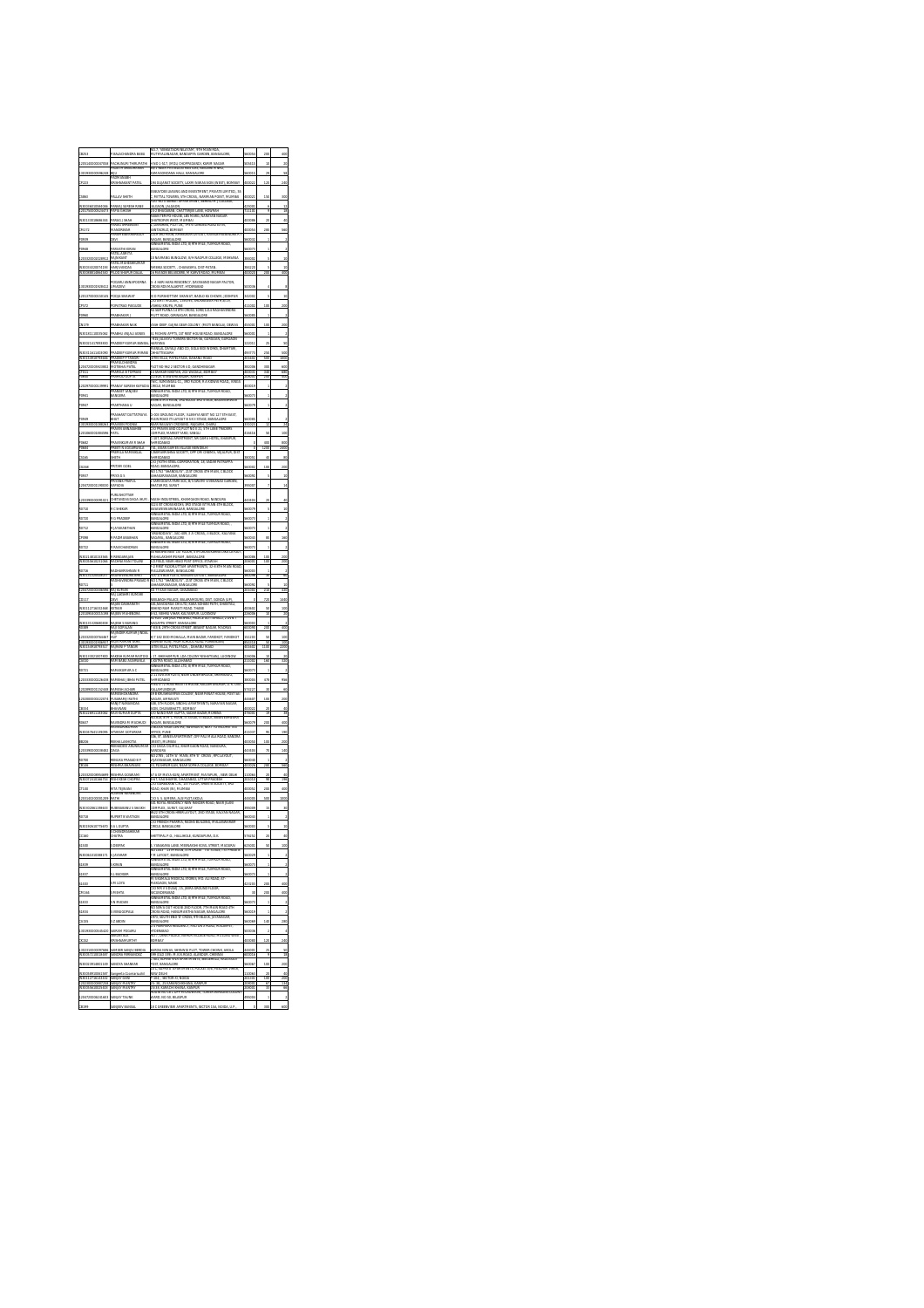|                                                          |                                                                            | VENKATADRI NILAYAM<br>FTH MAIN RO                                                                                                                                                                                               |                      |                       |                            |
|----------------------------------------------------------|----------------------------------------------------------------------------|---------------------------------------------------------------------------------------------------------------------------------------------------------------------------------------------------------------------------------|----------------------|-----------------------|----------------------------|
|                                                          | <b>BALACHANDRA BABU</b>                                                    | MUTHYALANAGAR, BANDAPPA GARDEN, BANGALOI                                                                                                                                                                                        |                      |                       |                            |
|                                                          | ACHUNURI THIRUPATHI                                                        | H NO 1-517, (MDL) CHOPPADANDI, KARIM NAGAR                                                                                                                                                                                      |                      |                       |                            |
|                                                          | ADATH SREEDHARAN<br>w                                                      | <b>/1 NEAR P</b><br>VS INDUSTRIES ICRS. ABIGARE MNRD<br><b>JAMAGONDANA HALLI, BANGALORE</b>                                                                                                                                     |                      |                       |                            |
|                                                          | RISHNAKANT PATE                                                            | 14 GUIARAT SOCIETY, LAXMI NIVIAS SION (WEST)                                                                                                                                                                                    |                      | 120                   |                            |
|                                                          |                                                                            | SSKAYDEE LEASING AND INVESTMENT. PRIVATE LIMITED SS                                                                                                                                                                             |                      |                       |                            |
|                                                          | <b><i>ALLAN SHETH</i></b>                                                  | TOWERS STH O<br>in P<br>$\overline{\mathbf{a}}$<br>MITAL                                                                                                                                                                        |                      | 15                    |                            |
|                                                          |                                                                            | .<br>AT NO 5 SANKET APPARTMENT, BEHIND M J COLLEGE<br>LGACIN, JALGACIN                                                                                                                                                          |                      |                       |                            |
|                                                          |                                                                            |                                                                                                                                                                                                                                 |                      |                       |                            |
|                                                          | 57                                                                         | MLBA                                                                                                                                                                                                                            |                      |                       |                            |
|                                                          | FKAG                                                                       | TAPELO                                                                                                                                                                                                                          |                      |                       |                            |
|                                                          |                                                                            | CAR, BANCALORS                                                                                                                                                                                                                  |                      |                       |                            |
|                                                          | VATHI K                                                                    |                                                                                                                                                                                                                                 |                      |                       |                            |
|                                                          | ATEL AS                                                                    |                                                                                                                                                                                                                                 |                      |                       |                            |
|                                                          | <b>TEL MAH</b>                                                             |                                                                                                                                                                                                                                 |                      |                       |                            |
|                                                          |                                                                            | DERE                                                                                                                                                                                                                            |                      |                       |                            |
|                                                          | OGARU ANNA                                                                 | 4 HA<br>RI HARA RESIDENCY, DAYANAND NAGAR PALTON,                                                                                                                                                                               |                      |                       |                            |
|                                                          | IMADEVI                                                                    | ROSS RDS MALAKPET, HYDERABAD                                                                                                                                                                                                    |                      |                       |                            |
|                                                          | OOJA SIKAWA                                                                | .<br>Dio Purshottam Sikawat, Badlo ka Chowk, Jobi<br>JSHNU KRUPA, PUNE<br>VSHNU KRUPA, PUNE                                                                                                                                     |                      |                       |                            |
|                                                          |                                                                            | S SAMPURNA 14 8TH CROSS: 1090/1214 RACHAVE                                                                                                                                                                                      |                      |                       |                            |
|                                                          |                                                                            | <b>IUTT ROAD, GRINAC</b>                                                                                                                                                                                                        |                      |                       |                            |
|                                                          |                                                                            | ASH-DEEP, GAJRA GEAR COLONY, (MOTI BANGLA)                                                                                                                                                                                      |                      |                       |                            |
|                                                          |                                                                            | 1 MOHINI APPTS, 1ST REST HOUSE ROAD, BAN<br>415 JALVAYU TOWERS SECTOR 56, GURGOAN                                                                                                                                               |                      |                       |                            |
|                                                          |                                                                            |                                                                                                                                                                                                                                 |                      |                       |                            |
|                                                          |                                                                            | -----<br>Mayana<br>Marlal Dayalji and CO, Gola Bidi Works                                                                                                                                                                       |                      |                       |                            |
|                                                          |                                                                            | MANLAL<br>CHHATTISGARH<br>IATIN VILLA, PATEL PADA, DAHANU ROAD                                                                                                                                                                  |                      |                       |                            |
| 12047200                                                 |                                                                            | H.OT NO 962 2 SECTOR 4 D, GANDHINAGAR<br>14 SAHKAR NIKETAN, 202 WADALA, BOMBA<br>11/50A, ETAWAHA BAZAR, KANPUR                                                                                                                  |                      | w                     | Ĥ                          |
| Póé                                                      | MATULLINNUM<br>KAMILA B TOPI<br>RAMOD GUPTA                                |                                                                                                                                                                                                                                 |                      |                       |                            |
| 12029700                                                 |                                                                            | L-11, 3                                                                                                                                                                                                                         |                      |                       |                            |
|                                                          | RANAY SURESH KAPA<br>RANEET SANEEV<br>ANGERA                               | 1901E, MUMBAI<br>ENNAMETAL INDIA LTD, B/9TH M                                                                                                                                                                                   |                      |                       |                            |
|                                                          | MRTHANA U                                                                  | ANGALORE<br>1996 BTH A MA                                                                                                                                                                                                       |                      |                       |                            |
|                                                          |                                                                            | R, BANGALO                                                                                                                                                                                                                      |                      |                       |                            |
|                                                          | RASHANT DATTATRAYA<br>HAT                                                  | G 003 GROUND FLOOR, 'ALEXHYA NEST' NO 127 STH EAST,<br>MAIN ROAD ITI LAYOUT B S K II STAGE,                                                                                                                                     |                      |                       |                            |
|                                                          | AVEEN POONIA<br>AVIN ANNASAHEB                                             | EAR RAILWAY CROSSING, RAJGARH, CHAR<br>/O PRAVIN AND CO PLOT NO E 21, STH LA                                                                                                                                                    |                      |                       |                            |
| 120                                                      | WTIL                                                                       | (OMPLEX, MARKET YARD, SANGLI<br>1-107, BORSALI APARTMENT, NR CAMA HOTEL,                                                                                                                                                        |                      | s                     |                            |
|                                                          | RAVINKUMAR R SHAH<br>REETI N AGGARWALA                                     | OASACIAN                                                                                                                                                                                                                        |                      | 400                   |                            |
|                                                          | REMILA RAMNIKLA                                                            | ASIAN GAMES VILLAGE NEWDELH<br>41<br><b>URAMAKRISHNA SOCIETY, OPP OM CINEMA</b>                                                                                                                                                 |                      |                       |                            |
|                                                          | HETH                                                                       | <i>Hambook</i><br>HMEDABAD<br>VO INDTHI STEEL CORPORATION                                                                                                                                                                       |                      |                       |                            |
|                                                          | <b>BTAM GOEL</b>                                                           | OAD, BANGALORE,<br>IO 1752 "SHANDILYA", 21ST CROS                                                                                                                                                                               |                      |                       |                            |
|                                                          | <b>GYFANK PRAFLI</b>                                                       | AHAKARANAGAR, BANGALORE<br>SARVODAYA PARK SOC, B/S SWAR                                                                                                                                                                         |                      |                       |                            |
|                                                          | <b>JPADIA</b>                                                              | HATAR RD, SURAT                                                                                                                                                                                                                 |                      |                       |                            |
|                                                          | urushottam<br>Hetandas daz                                                 |                                                                                                                                                                                                                                 |                      |                       |                            |
|                                                          |                                                                            | <b>ASH INDERTRES</b><br><b>KHAMCAON</b><br>124 IST CROSS KECHS,<br>ASAWESWARANAGAR<br>ton cran                                                                                                                                  |                      |                       |                            |
|                                                          |                                                                            | <br><b>AETAL IND</b>                                                                                                                                                                                                            |                      |                       |                            |
|                                                          |                                                                            | <b>NGALORE</b>                                                                                                                                                                                                                  |                      |                       |                            |
|                                                          |                                                                            | AL INDIA LTD, 8/9TH N<br>ANGALORE                                                                                                                                                                                               |                      |                       |                            |
|                                                          |                                                                            | IODAYA<br>RA, BAJ                                                                                                                                                                                                               |                      |                       |                            |
|                                                          |                                                                            | AMETAL INDIA LTD. &                                                                                                                                                                                                             |                      |                       |                            |
|                                                          |                                                                            | <b>RAICHIA NES</b><br>MHALAKSHMIPURAM, BANGALORE                                                                                                                                                                                |                      |                       |                            |
|                                                          |                                                                            | <b>ST FLOOR UTTAM APARTMENTS, 32-8 STH N</b><br>$^{2}$ R                                                                                                                                                                        |                      |                       |                            |
| R0716                                                    | ADHAKRISHNAN R                                                             | <b>MALESWARAM</b><br>BANGALORE                                                                                                                                                                                                  |                      |                       |                            |
| RĊ                                                       | MGHAVENDRA BHAT<br>MGHAVENDRA PRASAD                                       | RLF/1/4 BDA FLATS, NANDINI LAYOUT, BANGALORE<br>NO 1752 "SHANDILYA", 21ST CROSS 4TH MAIN, C BLO<br>SAHAKARANAGAR, BANGALORE                                                                                                     |                      |                       |                            |
|                                                          |                                                                            |                                                                                                                                                                                                                                 |                      |                       |                            |
| 80711                                                    |                                                                            |                                                                                                                                                                                                                                 | secon:               |                       |                            |
|                                                          | <b>U LAKSHMI KUMA</b>                                                      | D 77 KAVI NAGAR                                                                                                                                                                                                                 |                      |                       |                            |
|                                                          |                                                                            |                                                                                                                                                                                                                                 |                      |                       |                            |
|                                                          | <br>Xin<br>Kian dasharat<br><b>AEEV MAHEN</b>                              | eelbach Palace, Balaramdurg,<br>201,NAVDURGA CHSLTD, KAKA SOH<br>IEHIND RAM MARUTI ROAD, THANE                                                                                                                                  | 2600                 |                       |                            |
| IN30112716332468<br>1201090400015198                     | <b>A FSH S NARANA</b>                                                      | 5 52, NEHRU VIHAR, KALYANPUR, LUCKNOW<br>12 FLAT 206 JALA PRASHAD, PALACE GUITTAHALLI, 2 E<br>A STREET, BAI                                                                                                                     |                      |                       |                            |
|                                                          |                                                                            | 29TH CROSS STREET, BESANT NACL                                                                                                                                                                                                  |                      |                       |                            |
|                                                          | 1,6                                                                        |                                                                                                                                                                                                                                 |                      |                       |                            |
| 1203320000                                               | V PAMAN SA                                                                 |                                                                                                                                                                                                                                 |                      |                       |                            |
|                                                          | MCESH KUMAR RASTOGI                                                        | 77 182 DOD MOHALLA, MAIN BAZAR, FARIDI<br>ESHAW KUNI, HIGH SCHOOL ROAD, FORBESI<br>KIIN VIILIA, PATEL PADA, , DAHANU ROAD                                                                                                       | men                  | $\mathbf{R}$          |                            |
| IN3013302<br>CAD10                                       | MA BABU AGARWALA                                                           | 17, BHKHAMPUR, LDA COLONY NIS                                                                                                                                                                                                   |                      | 160                   |                            |
| 8072                                                     | MAAKLIMAR A (                                                              | ,KATRA ROAD, ALLAHABAD<br>ENNAMETAL INDIA LTD, 8/9TH                                                                                                                                                                            |                      |                       |                            |
|                                                          | <b>GHALLBHALPATE</b>                                                       | MAGALORE<br>111 AVATAR FLATS, NEAR<br>111 AVATAR FLATS, NEAR                                                                                                                                                                    |                      | 471                   |                            |
|                                                          |                                                                            | UMKEDABAD<br>1 NO 5-72 MASTHIKATTE HI                                                                                                                                                                                           |                      |                       |                            |
|                                                          | <b>ESH ACHAR</b><br>ESHCHANDI                                              | ALLAMUNDKUR<br>9 B KRUSHNARPAN COLC                                                                                                                                                                                             |                      | α                     |                            |
|                                                          | <mark>usabami rathi</mark><br>Walit narawan<br><b>NANI</b>                 | <b>LAGAR, AMRAVATI</b><br>IOB, STH FLOOR, SIM<br><b>JOHU APARTME</b>                                                                                                                                                            |                      |                       |                            |
|                                                          | <b>IAR GL</b>                                                              | ION,<br>UNABHATTI, BOMBA'<br>a                                                                                                                                                                                                  |                      |                       |                            |
|                                                          |                                                                            | VO NAND RAM GUPTA, SADAR BAZAR MI<br>40.818, 8TH "C" MAIN, 11 STAGE, 11 BLOCK                                                                                                                                                   | 6007                 | 200                   |                            |
|                                                          | .<br>WINDRAMMAR<br>WINDRAMMAR<br><b>TARAM GOTARKA</b>                      | NAGAR, BANGALORE<br>D BLOCK VEGA CENTRE, SWARG                                                                                                                                                                                  |                      | ö                     |                            |
|                                                          |                                                                            | SERCE, PUNE<br>FS APART<br>MUMBA                                                                                                                                                                                                |                      |                       |                            |
|                                                          | .<br>Ekhaliakin deka<br>Frhadevi arui                                      | WEST), M<br>20 DAGA<br><b>DURA</b>                                                                                                                                                                                              |                      |                       |                            |
|                                                          |                                                                            | 0285                                                                                                                                                                                                                            |                      |                       |                            |
|                                                          |                                                                            |                                                                                                                                                                                                                                 |                      |                       |                            |
|                                                          |                                                                            |                                                                                                                                                                                                                                 |                      |                       |                            |
|                                                          |                                                                            |                                                                                                                                                                                                                                 |                      |                       |                            |
|                                                          |                                                                            |                                                                                                                                                                                                                                 |                      |                       |                            |
|                                                          |                                                                            | <b>AJMERA</b><br><b>ALSI PLOT</b>                                                                                                                                                                                               |                      |                       |                            |
|                                                          |                                                                            | Y NI<br>OMPLEX<br>SLIRAT,<br><b>GUIARA</b>                                                                                                                                                                                      |                      |                       |                            |
|                                                          |                                                                            | IOSS HRE<br>R LAYO                                                                                                                                                                                                              |                      |                       |                            |
|                                                          |                                                                            |                                                                                                                                                                                                                                 |                      |                       |                            |
|                                                          |                                                                            |                                                                                                                                                                                                                                 |                      |                       |                            |
|                                                          |                                                                            |                                                                                                                                                                                                                                 |                      |                       |                            |
| \$1500                                                   | S DEEPAK                                                                   |                                                                                                                                                                                                                                 | 625001               |                       |                            |
| IN30061010388171                                         | S JAYARAM                                                                  |                                                                                                                                                                                                                                 | 56002                |                       |                            |
| \$1839                                                   | <b>SKIRAN</b>                                                              | 4, YANAKARA LANE, MEENAKSHI KOVIL STREET, MADURAI<br>NO 1043 – 13TH MAIN, STH CROSS – I ST STAGE, I ST PHASE B<br>KENNAMETAL INDIA LTD, B/VTH MILE, TUMKUR ROAD,<br>BANGALORE<br>KENNAMETAL INDIA LTD, B/VTH MILE, TUMKUR ROAD, | 560073               |                       |                            |
| \$1837                                                   | ICER                                                                       |                                                                                                                                                                                                                                 | 0075                 | ï                     |                            |
| \$1403                                                   | SMLOYA                                                                     | MANGALORE<br>MS KAMALA MEDICAL STORES, MD. ALI ROAD, AT-                                                                                                                                                                        |                      |                       |                            |
|                                                          | SMEHTA                                                                     |                                                                                                                                                                                                                                 | $\mathbf{x}$         | 200                   | 400                        |
| CM164                                                    |                                                                            | CENNAMETAL INDIA LTD: 8/9TH MILE: TUMICUR ROAD                                                                                                                                                                                  |                      | ï                     |                            |
| \$1833                                                   | SNMADAN                                                                    | .<br>IO 509/A OUT HOUSE 2ND FLOOR: 7TH MAIN ROAD 4TH.                                                                                                                                                                           | 560073               |                       |                            |
| \$1834                                                   | S VENUGOPALA                                                               | .<br>CROSS ROAD, HANUMANTHA NAGAR, BANGALORE<br>1973, SOUTH END 'D' CROSS, 9TH BLOCK, JAYANAGAR,                                                                                                                                | 560019               |                       |                            |
| CA155                                                    | \$2,48DIN                                                                  |                                                                                                                                                                                                                                 | <b>Sécoso</b>        | 140                   |                            |
| 1301930000545420 SARAM POCARU                            |                                                                            | ANGALORE<br>4 HARIHARA RESIDENCY, PALTON X ROAD, MALAKPET,                                                                                                                                                                      | 500036               | $\overline{2}$        |                            |
| O(152)                                                   | GISHNAMURTHY                                                               | tan<br>Erabad<br>1, Dena Palace, Nahur Village Road, Mulund West<br><b>CMBAY</b>                                                                                                                                                | 400080               | 120                   | 240                        |
|                                                          |                                                                            | BARDIA NIWAS, SHRAWGI PLOT, TOWER CHOWK, AKOLA                                                                                                                                                                                  | 4400                 | $\overline{25}$       | 100<br>2<br>280<br>ï<br>Sà |
|                                                          | 1302310000097686_SAMEER SANJIV BERDIA<br>IN30057210018487_SANDRA FERNANDEZ |                                                                                                                                                                                                                                 | 600016               |                       | 18                         |
| IN30023914801149                                         | SANDYA SHANKAR                                                             |                                                                                                                                                                                                                                 | 560067               | 100                   | 200                        |
| IN30058910061587                                         |                                                                            | 000 <u>(OLD 339), M.K N.ROAD, ALAMDUR, CHEMMA</u><br>E 401, ALPINE VIVA APARTMENTS, SEEGEHALLI, KADUGODI<br>POST, BANGALORE<br>10 C, SUPRITA, APARTMENTS, POCKET A/6, PASCHIM VIHAR,                                            | 110063               |                       |                            |
|                                                          | .<br>Sangeeta Coomarsushil.<br>SANJAY DANI<br>SANJAY MANTRY                | - Ru-,<br>OST, BANGAL-<br>OC, SUPRITA 7<br>IEW DELHI<br>- 104, <u>- SECTOR</u><br>25 KARANCHIKHANA, KANPUR                                                                                                                      | 201301<br>ceop       | œ                     | 200<br>134                 |
| IN30112716143432<br>1202300000887258<br>IN30055610025403 | <b>AY MANTRY</b>                                                           | I, KARACHI KHANA, KANPUR<br>E NO 18 1 OPP MICROWAVE, TOWER WIRELESS COLONY<br><b>JOUSE!</b>                                                                                                                                     | 800                  | 33                    | 6é                         |
| 1204720006241603 SANJAYTAUNK<br>CB199                    | SANJEEV BANSAL                                                             | IVARD, NO 50, BILASPUR<br>18 C GREENVIEW APARTMENTS, SECTOR 15A, NOIDA, U.P.,                                                                                                                                                   | 495004<br>$^{\circ}$ | $\overline{1}$<br>300 | ź<br>600                   |